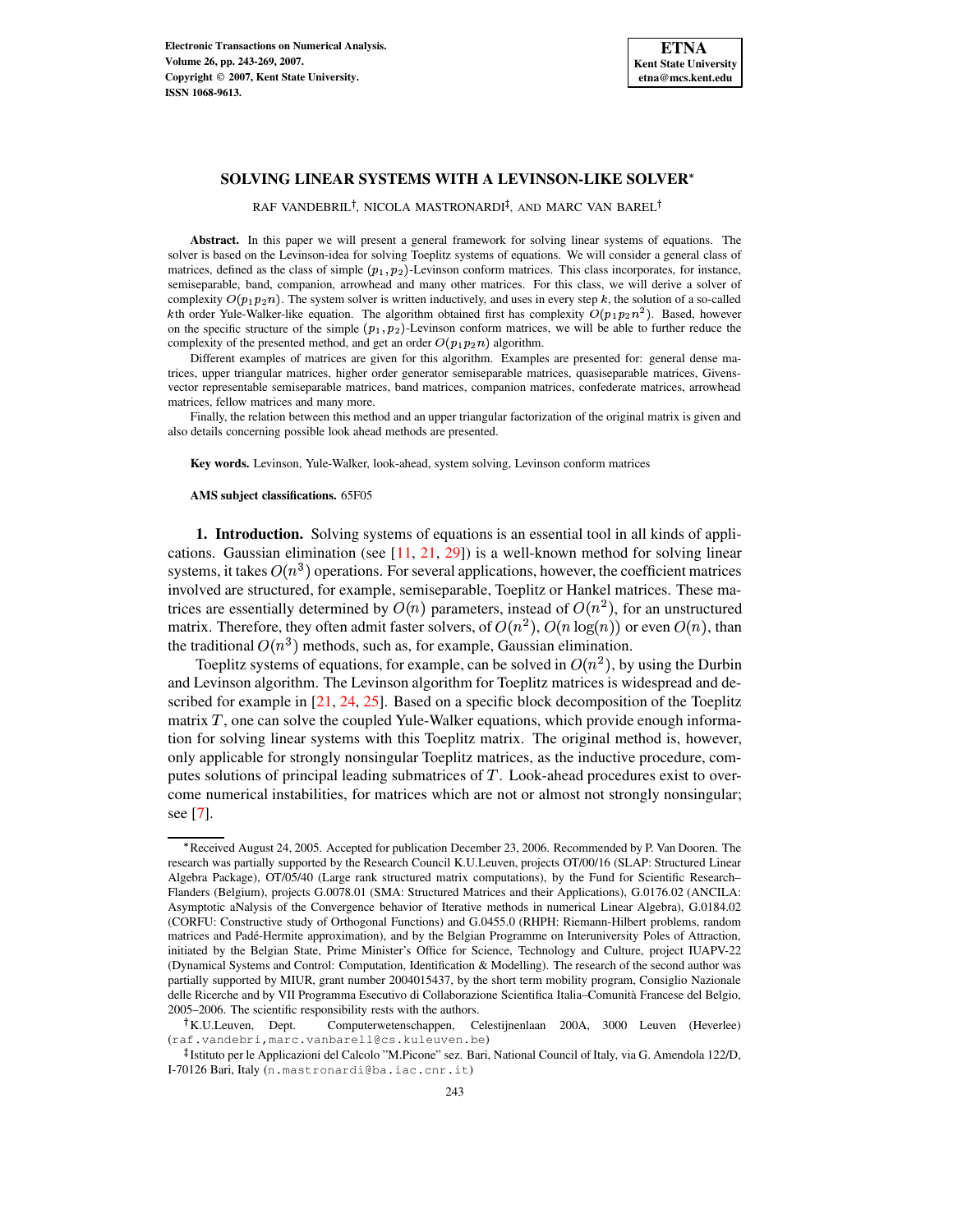# **SOLVING LINEAR SYSTEMS WITH A LEVINSON-LIKE SOLVER**

RAF VANDEBRIL<sup>†</sup>, NICOLA MASTRONARDI<sup>‡</sup>, AND MARC VAN BAREL<sup>†</sup>

**Abstract.** In this paper we will present a general framework for solving linear systems of equations. The solver is based on the Levinson-idea for solving Toeplitz systems of equations. We will consider a general class of matrices, defined as the class of simple  $(p_1, p_2)$ -Levinson conform matrices. This class incorporates, for instance, semiseparable, band, companion, arrowhead and many other matrices. For this class, we will derive a solver of complexity  $O(p_1p_2n)$ . The system solver is written inductively, and uses in every step k, the solution of a so-called kth order Yule-Walker-like equation. The algorithm obtained first has complexity  $O(p_1p_2n^2)$ . Based, however on the specific structure of the simple  $(p_1, p_2)$ -Levinson conform matrices, we will be able to further reduce the complexity of the presented method, and get an order  $O(p_1 p_2 n)$  algorithm.

Different examples of matrices are given for this algorithm. Examples are presented for: general dense matrices, upper triangular matrices, higher order generator semiseparable matrices, quasiseparable matrices, Givensvector representable semiseparable matrices, band matrices, companion matrices, confederate matrices, arrowhead matrices, fellow matrices and many more.

Finally, the relation between this method and an upper triangular factorization of the original matrix is given and also details concerning possible look ahead methods are presented.

**Key words.** Levinson, Yule-Walker, look-ahead, system solving, Levinson conform matrices

#### **AMS subject classifications.** 65F05

**1. Introduction.** Solving systems of equations is an essential tool in all kinds of applications. Gaussian elimination (see  $[11, 21, 29]$  $[11, 21, 29]$  $[11, 21, 29]$  $[11, 21, 29]$  $[11, 21, 29]$ ) is a well-known method for solving linear systems, it takes  $O(n^3)$  operations. For several applications, however, the coefficient matrices involved are structured, for example, semiseparable, Toeplitz or Hankel matrices. These matrices are essentially determined by  $O(n)$  parameters, instead of  $O(n^2)$ , for an unstructured matrix. Therefore, they often admit faster solvers, of  $O(n^2)$ ,  $O(n \log(n))$  or even  $O(n)$ , than the traditional  $O(n^3)$  methods, such as, for example, Gaussian elimination.

Toeplitz systems of equations, for example, can be solved in  $O(n^2)$ , by using the Durbin and Levinson algorithm. The Levinson algorithm for Toeplitz matrices is widespread and described for example in  $[21, 24, 25]$  $[21, 24, 25]$  $[21, 24, 25]$  $[21, 24, 25]$  $[21, 24, 25]$ . Based on a specific block decomposition of the Toeplitz matrix  $T$ , one can solve the coupled Yule-Walker equations, which provide enough information for solving linear systems with this Toeplitz matrix. The original method is, however, only applicable for strongly nonsingular Toeplitz matrices, as the inductive procedure, computes solutions of principal leading submatrices of  $T$ . Look-ahead procedures exist to overcome numerical instabilities, for matrices which are not or almost not strongly nonsingular; see [\[7\]](#page-25-4).

<sup>.</sup> Received August 24, 2005. Accepted for publication December 23, 2006. Recommended by P. Van Dooren. The research was partially supported by the Research Council K.U.Leuven, projects OT/00/16 (SLAP: Structured Linear Algebra Package), OT/05/40 (Large rank structured matrix computations), by the Fund for Scientific Research– Flanders (Belgium), projects G.0078.01 (SMA: Structured Matrices and their Applications), G.0176.02 (ANCILA: Asymptotic aNalysis of the Convergence behavior of Iterative methods in numerical Linear Algebra), G.0184.02 (CORFU: Constructive study of Orthogonal Functions) and G.0455.0 (RHPH: Riemann-Hilbert problems, random matrices and Padé-Hermite approximation), and by the Belgian Programme on Interuniversity Poles of Attraction, initiated by the Belgian State, Prime Minister's Office for Science, Technology and Culture, project IUAPV-22 (Dynamical Systems and Control: Computation, Identification & Modelling). The research of the second author was partially supported by MIUR, grant number 2004015437, by the short term mobility program, Consiglio Nazionale delle Ricerche and by VII Programma Esecutivo di Collaborazione Scientifica Italia–Comunita` Francese del Belgio, 2005–2006. The scientific responsibility rests with the authors.

<sup>&</sup>lt;sup>†</sup>K.U.Leuven, Dept. Computerwetenschappen, Celestijnenlaan 200A, 3000 Leuven (Heverlee) (raf.vandebri,marc.vanbarell@cs.kuleuven.be)

<sup>-</sup> Istituto per le Applicazioni del Calcolo "M.Picone" sez. Bari, National Council of Italy, via G. Amendola 122/D, I-70126 Bari, Italy (n.mastronardi@ba.iac.cnr.it)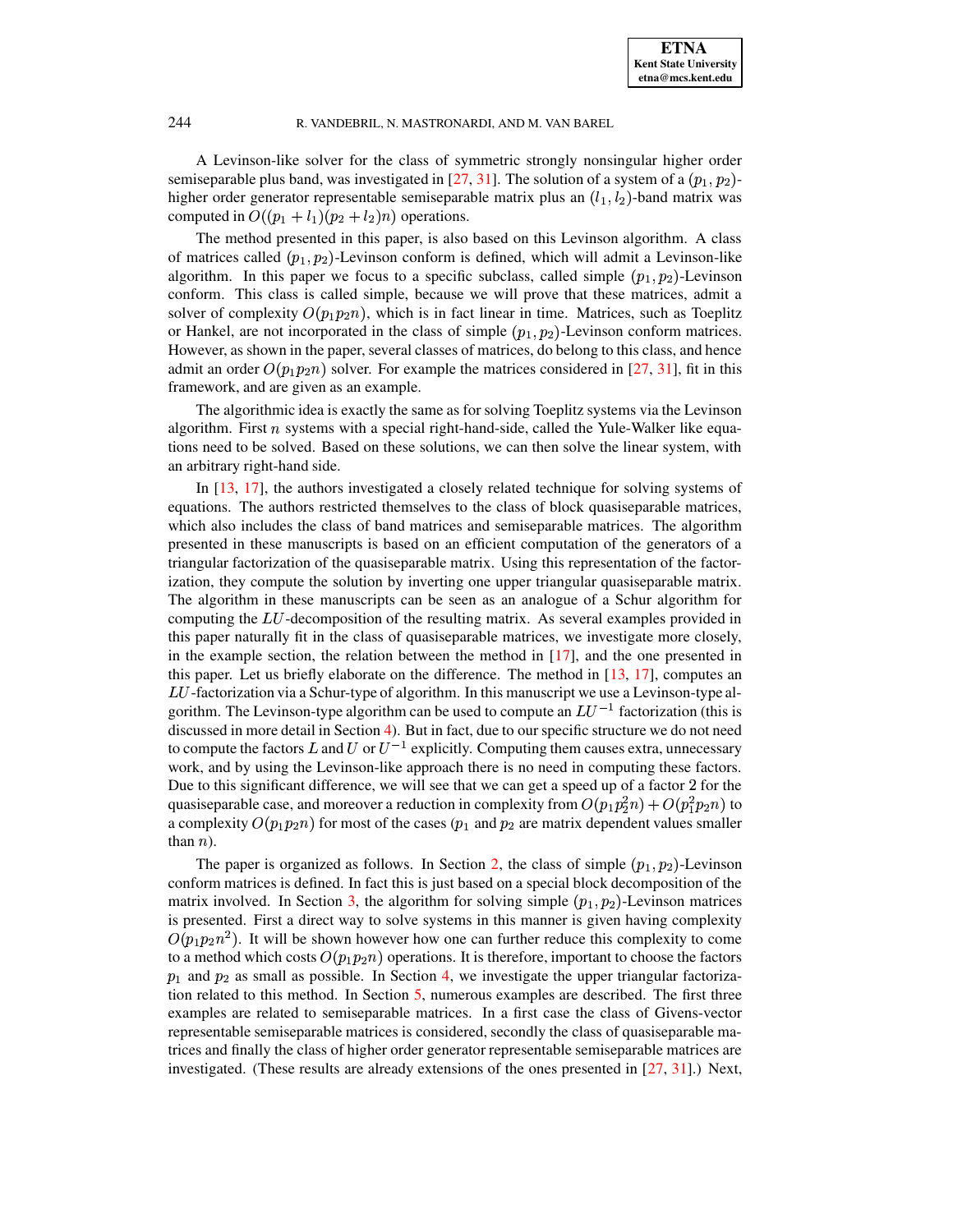A Levinson-like solver for the class of symmetric strongly nonsingular higher order semiseparable plus band, was investigated in [\[27,](#page-26-1) [31\]](#page-26-2). The solution of a system of a  $(p_1, p_2)$ higher order generator representable semiseparable matrix plus an  $(l_1, l_2)$ -band matrix was computed in  $O((p_1 + l_1)(p_2 + l_2)n)$  operations.

The method presented in this paper, is also based on this Levinson algorithm. A class of matrices called  $(p_1, p_2)$ -Levinson conform is defined, which will admit a Levinson-like algorithm. In this paper we focus to a specific subclass, called simple  $(p_1, p_2)$ -Levinson conform. This class is called simple, because we will prove that these matrices, admit a solver of complexity  $O(p_1p_2n)$ , which is in fact linear in time. Matrices, such as Toeplitz or Hankel, are not incorporated in the class of simple  $(p_1, p_2)$ -Levinson conform matrices. However, as shown in the paper, several classes of matrices, do belong to this class, and hence admit an order  $O(p_1 p_2 n)$  solver. For example the matrices considered in [\[27,](#page-26-1) [31\]](#page-26-2), fit in this framework, and are given as an example.

The algorithmic idea is exactly the same as for solving Toeplitz systems via the Levinson algorithm. First  $n$  systems with a special right-hand-side, called the Yule-Walker like equations need to be solved. Based on these solutions, we can then solve the linear system, with an arbitrary right-hand side.

In [\[13,](#page-25-5) [17\]](#page-25-6), the authors investigated a closely related technique for solving systems of equations. The authors restricted themselves to the class of block quasiseparable matrices, which also includes the class of band matrices and semiseparable matrices. The algorithm presented in these manuscripts is based on an efficient computation of the generators of a triangular factorization of the quasiseparable matrix. Using this representation of the factorization, they compute the solution by inverting one upper triangular quasiseparable matrix. The algorithm in these manuscripts can be seen as an analogue of a Schur algorithm for computing the  $LU$ -decomposition of the resulting matrix. As several examples provided in this paper naturally fit in the class of quasiseparable matrices, we investigate more closely, in the example section, the relation between the method in [\[17\]](#page-25-6), and the one presented in this paper. Let us briefly elaborate on the difference. The method in [\[13,](#page-25-5) [17\]](#page-25-6), computes an  $LU$ -factorization via a Schur-type of algorithm. In this manuscript we use a Levinson-type algorithm. The Levinson-type algorithm can be used to compute an  $LU^{-1}$  factorization (this is discussed in more detail in Section [4\)](#page-11-0). But in fact, due to our specific structure we do not need to compute the factors L and U or  $U^{-1}$  explicitly. Computing them causes extra, unnecessary work, and by using the Levinson-like approach there is no need in computing these factors. Due to this significant difference, we will see that we can get a speed up of a factor 2 for the quasiseparable case, and moreover a reduction in complexity from  $O(p_1p_2^2n) + O(p_1^2p_2n)$  to a complexity  $O(p_1p_2n)$  for most of the cases  $(p_1$  and  $p_2$  are matrix dependent values smaller than  $n$ ).

The paper is organized as follows. In Section [2,](#page-2-0) the class of simple  $(p_1, p_2)$ -Levinson conform matrices is defined. In fact this is just based on a special block decomposition of the matrix involved. In Section [3,](#page-3-0) the algorithm for solving simple  $(p_1, p_2)$ -Levinson matrices is presented. First a direct way to solve systems in this manner is given having complexity  $O(p_1 p_2 n^2)$ . It will be shown however how one can further reduce this complexity to come to a method which costs  $O(p_1 p_2 n)$  operations. It is therefore, important to choose the factors  $p_1$  and  $p_2$  as small as possible. In Section [4,](#page-11-0) we investigate the upper triangular factoriza-tion related to this method. In Section [5,](#page-12-0) numerous examples are described. The first three examples are related to semiseparable matrices. In a first case the class of Givens-vector representable semiseparable matrices is considered, secondly the class of quasiseparable matrices and finally the class of higher order generator representable semiseparable matrices are investigated. (These results are already extensions of the ones presented in  $[27, 31]$  $[27, 31]$  $[27, 31]$ .) Next,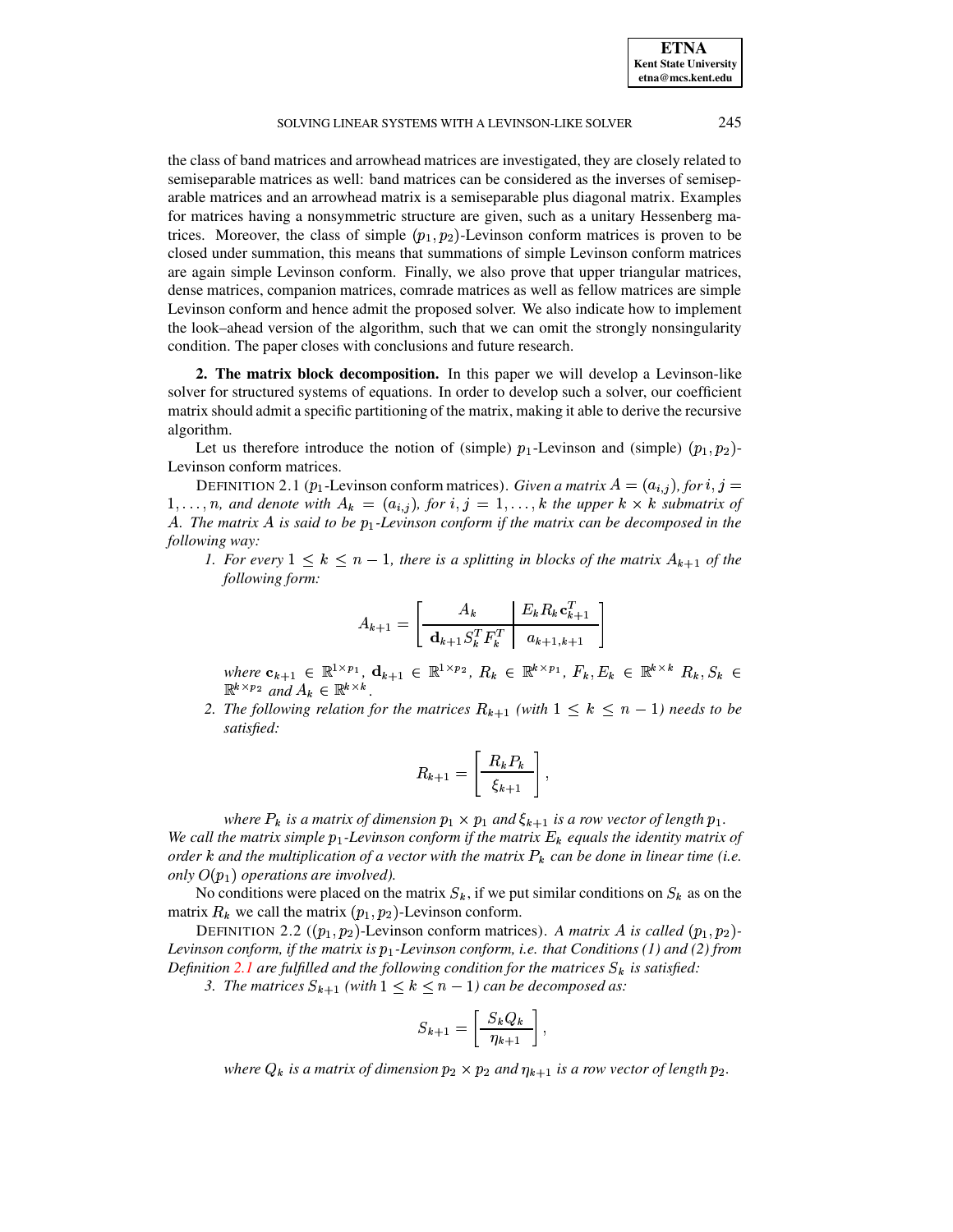# SOLVING LINEAR SYSTEMS WITH A LEVINSON-LIKE SOLVER 245

the class of band matrices and arrowhead matrices are investigated, they are closely related to semiseparable matrices as well: band matrices can be considered as the inverses of semiseparable matrices and an arrowhead matrix is a semiseparable plus diagonal matrix. Examples for matrices having a nonsymmetric structure are given, such as a unitary Hessenberg matrices. Moreover, the class of simple  $(p_1, p_2)$ -Levinson conform matrices is proven to be closed under summation, this means that summations of simple Levinson conform matrices are again simple Levinson conform. Finally, we also prove that upper triangular matrices, dense matrices, companion matrices, comrade matrices as well as fellow matrices are simple Levinson conform and hence admit the proposed solver. We also indicate how to implement the look–ahead version of the algorithm, such that we can omit the strongly nonsingularity condition. The paper closes with conclusions and future research.

<span id="page-2-0"></span>**2. The matrix block decomposition.** In this paper we will develop a Levinson-like solver for structured systems of equations. In order to develop such a solver, our coefficient matrix should admit a specific partitioning of the matrix, making it able to derive the recursive algorithm.

Let us therefore introduce the notion of (simple)  $p_1$ -Levinson and (simple)  $(p_1, p_2)$ -Levinson conform matrices.

<span id="page-2-1"></span>DEFINITION 2.1 ( $p_1$ -Levinson conform matrices). *Given a matrix*  $A = (a_{i,j})$ , for  $i, j =$  $A_1, \ldots, n$ , and denote with  $A_k = (a_{i,j})$ , for  $i, j = 1, \ldots, k$  the upper  $k \times k$  submatrix of <sup>C</sup>*. The matrix* <sup>C</sup> *is said to be* /1 *-Levinson conform if the matrix can be decomposed in the following way:*

*1.* For every  $1 \leq k \leq n-1$ , there is a splitting in blocks of the matrix  $A_{k+1}$  of the *following form:*

$$
A_{k+1} = \left[ \begin{array}{c|c} A_k & E_k R_k \mathbf{c}_{k+1}^T \\ \hline \mathbf{d}_{k+1} S_k^T F_k^T & a_{k+1,k+1} \end{array} \right]
$$

 $where \; \mathbf{c}_{k+1} \; \in \; \mathbb{R}^{1 \times p_1}, \; \mathbf{d}_{k+1} \; \in \; \mathbb{R}^{1 \times p_2}, \; R_k \; \in \; \mathbb{R}^{k \times p_1}, \; F_k, E_k \; \in \; \mathbb{R}^{k \times k}, \; R_k, S_k \; \in \; \mathbb{R}^{k \times q_1}$  $\mathbb{R}^{k \times p_2}$  and  $A_k \in \mathbb{R}^{k \times k}$ .

2. *The following relation for the matrices*  $R_{k+1}$  (with  $1 \leq k \leq n-1$ ) *needs to be satisfied:*

$$
R_{k+1} = \left[\begin{array}{c} R_k P_k \\ \hline \xi_{k+1} \end{array}\right],
$$

3

*where*  $P_k$  *is a matrix of dimension*  $p_1 \times p_1$  *and*  $\xi_{k+1}$  *is a row vector of length*  $p_1$ *. We call the matrix simple*  $p_1$ -Levinson *conform if the matrix*  $E_k$  *equals the identity matrix of order*  $k$  *and the multiplication of a vector with the matrix*  $P_k$  *can be done in linear time* (*i.e. only*  $O(p_1)$  *operations are involved*).

No conditions were placed on the matrix  $S_k$ , if we put similar conditions on  $S_k$  as on the matrix  $R_k$  we call the matrix  $(p_1, p_2)$ -Levinson conform.

<span id="page-2-2"></span>DEFINITION 2.2 ( $(p_1, p_2)$ -Levinson conform matrices). *A matrix A is called*  $(p_1, p_2)$ -*Levinson conform, if the matrix is*  $p_1$ -*Levinson conform, i.e. that Conditions* (1) and (2) *from Definition* [2.1](#page-2-1) are fulfilled and the following condition for the matrices  $S_k$  is satisfied:

*3. The matrices*  $S_{k+1}$  (with  $1 \leq k \leq n-1$ ) can be decomposed as:

$$
S_{k+1} = \left[ \frac{S_k Q_k}{\eta_{k+1}} \right],
$$

where  $Q_k$  is a matrix of dimension  $p_2 \times p_2$  and  $\eta_{k+1}$  is a row vector of length  $p_2$ .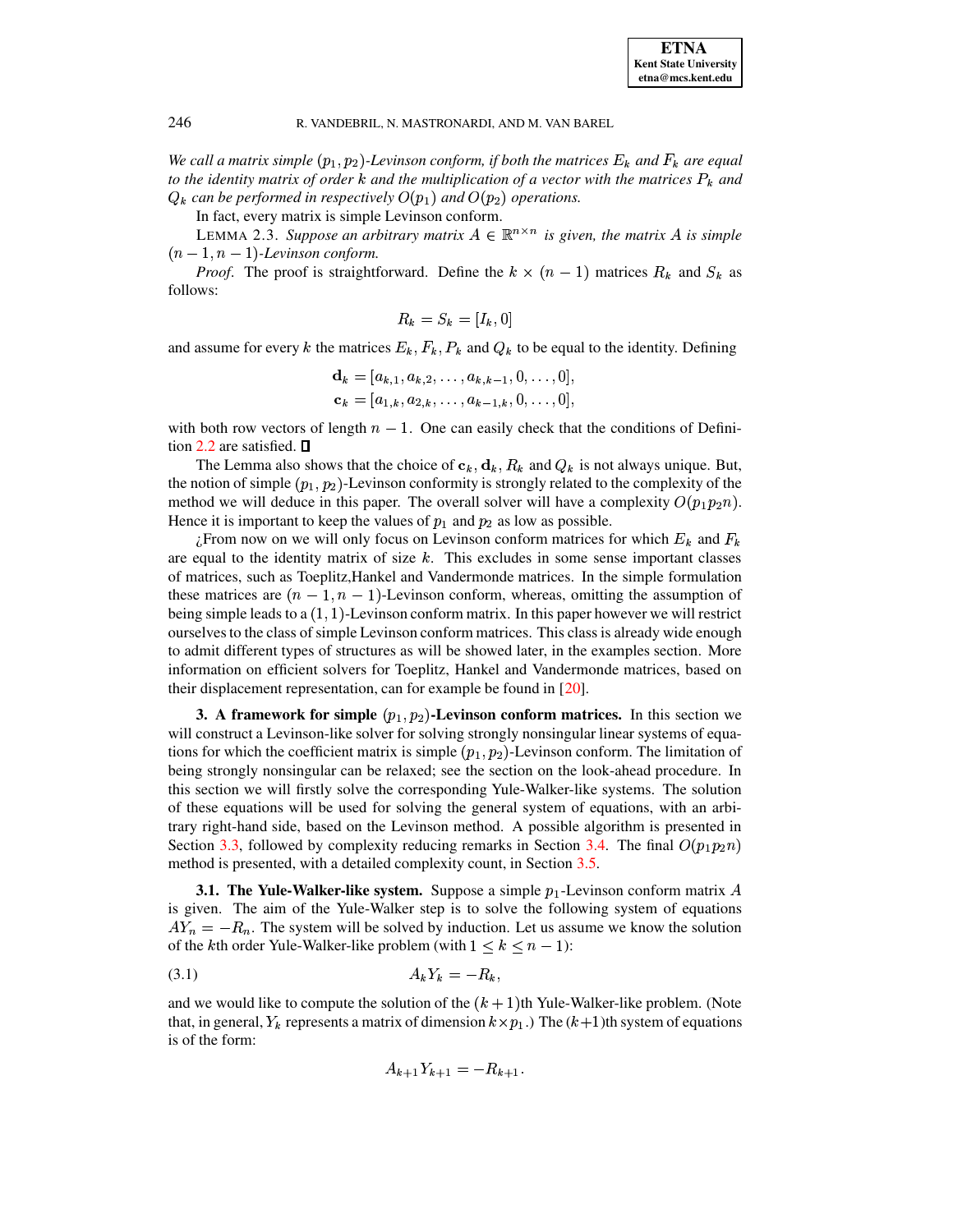We call a matrix simple  $(p_1, p_2)$ -Levinson conform, if both the matrices  $E_k$  and  $F_k$  are equal *to* the identity matrix of order  $k$  and the multiplication of a vector with the matrices  $P_k$  and  $Q_k$  can be performed in respectively  $O(p_1)$  and  $O(p_2)$  operations.

In fact, every matrix is simple Levinson conform.

<span id="page-3-3"></span>LEMMA 2.3. Suppose an arbitrary matrix  $A \in \mathbb{R}^{n \times n}$  is given, the matrix A is simple  $(n-1, n-1)$ -Levinson conform.

*Proof.* The proof is straightforward. Define the  $k \times (n-1)$  matrices  $R_k$  and  $S_k$  as follows:

$$
R_k = S_k = [I_k, 0]
$$

and assume for every k the matrices  $E_k$ ,  $F_k$ ,  $P_k$  and  $Q_k$  to be equal to the identity. Defining

$$
\mathbf{d}_k = [a_{k,1}, a_{k,2}, \dots, a_{k,k-1}, 0, \dots, 0],
$$
  

$$
\mathbf{c}_k = [a_{1,k}, a_{2,k}, \dots, a_{k-1,k}, 0, \dots, 0],
$$

with both row vectors of length  $n - 1$ . One can easily check that the conditions of Defini-tion [2.2](#page-2-2) are satisfied.  $\square$ 

The Lemma also shows that the choice of  $c_k, d_k, R_k$  and  $Q_k$  is not always unique. But, the notion of simple  $(p_1, p_2)$ -Levinson conformity is strongly related to the complexity of the method we will deduce in this paper. The overall solver will have a complexity  $O(p_1 p_2 n)$ . Hence it is important to keep the values of  $p_1$  and  $p_2$  as low as possible.

 $\zeta$ From now on we will only focus on Levinson conform matrices for which  $E_k$  and  $F_k$ are equal to the identity matrix of size  $k$ . This excludes in some sense important classes of matrices, such as Toeplitz,Hankel and Vandermonde matrices. In the simple formulation these matrices are  $(n - 1, n - 1)$ -Levinson conform, whereas, omitting the assumption of being simple leads to a  $(1, 1)$ -Levinson conform matrix. In this paper however we will restrict ourselvesto the class of simple Levinson conform matrices. This class is already wide enough to admit different types of structures as will be showed later, in the examples section. More information on efficient solvers for Toeplitz, Hankel and Vandermonde matrices, based on their displacement representation, can for example be found in [\[20\]](#page-25-7).

<span id="page-3-0"></span>**3.** A framework for simple  $(p_1, p_2)$ -Levinson conform matrices. In this section we will construct a Levinson-like solver for solving strongly nonsingular linear systems of equations for which the coefficient matrix is simple  $(p_1, p_2)$ -Levinson conform. The limitation of being strongly nonsingular can be relaxed; see the section on the look-ahead procedure. In this section we will firstly solve the corresponding Yule-Walker-like systems. The solution of these equations will be used for solving the general system of equations, with an arbitrary right-hand side, based on the Levinson method. A possible algorithm is presented in Section [3.3,](#page-6-0) followed by complexity reducing remarks in Section [3.4.](#page-7-0) The final  $O(p_1 p_2 n)$ method is presented, with a detailed complexity count, in Section [3.5.](#page-8-0)

<span id="page-3-2"></span>**3.1.** The Yule-Walker-like system. Suppose a simple  $p_1$ -Levinson conform matrix A is given. The aim of the Yule-Walker step is to solve the following system of equations  $AY_n = -R_n$ . The system will be solved by induction. Let us assume we know the solution of the *k*th order Yule-Walker-like problem (with  $1 \leq k \leq n-1$ ):

$$
(3.1) \t\t\t A_k Y_k = -R_k,
$$

and we would like to compute the solution of the  $(k+1)$ th Yule-Walker-like problem. (Note that, in general,  $Y_k$  represents a matrix of dimension  $k \times p_1$ .) The  $(k+1)$ th system of equations is of the form:

<span id="page-3-1"></span>
$$
A_{k+1}Y_{k+1} = -R_{k+1}.
$$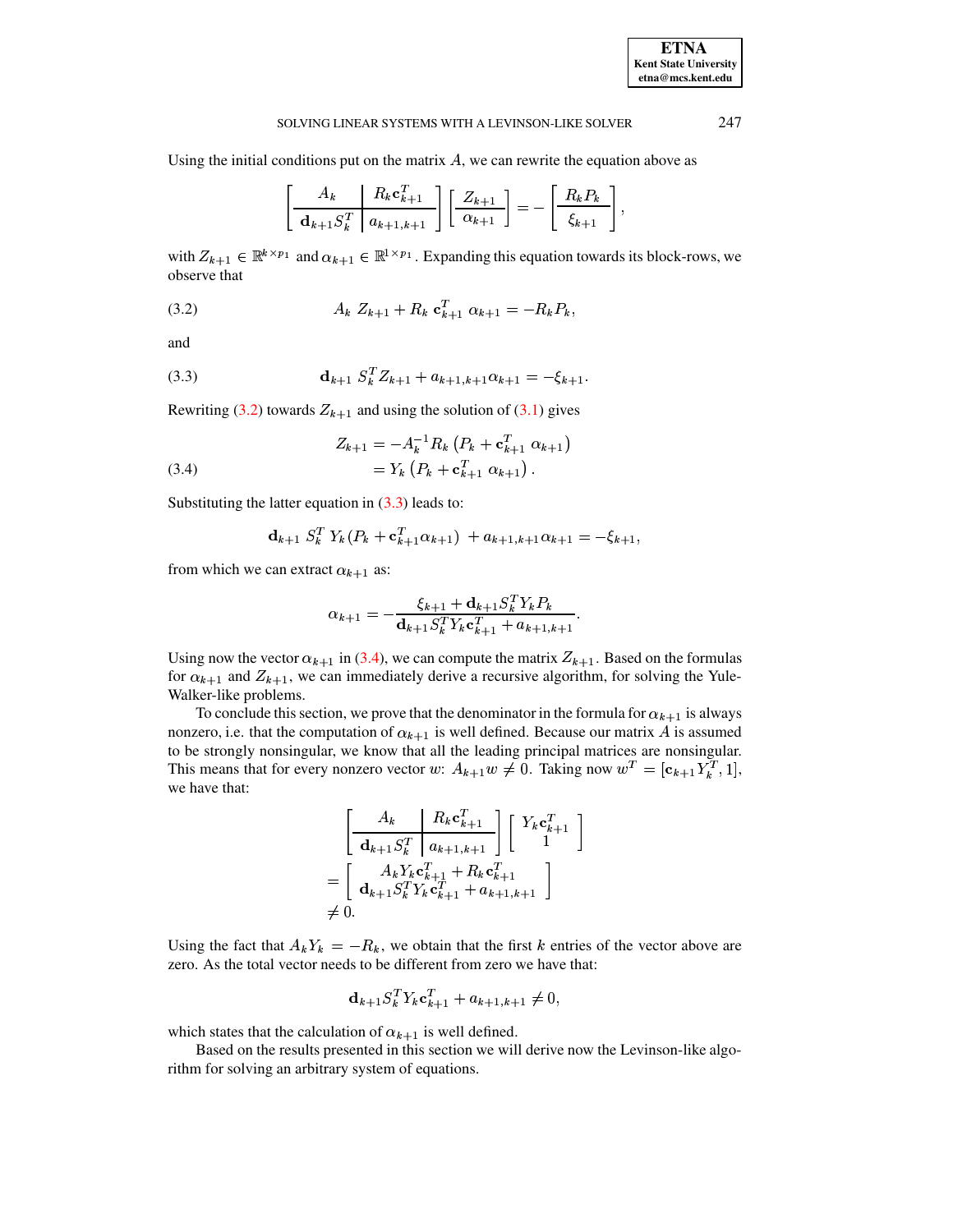# **ETNA Kent State University etna@mcs.kent.edu**

3

## SOLVING LINEAR SYSTEMS WITH A LEVINSON-LIKE SOLVER 247

Using the initial conditions put on the matrix  $A$ , we can rewrite the equation above as

$$
\left[\begin{array}{c|c} A_k & R_k \mathbf{c}_{k+1}^T \\ \hline \mathbf{d}_{k+1} S_k^T & a_{k+1,k+1} \end{array}\right] \left[\begin{array}{c} Z_{k+1} \\ \hline \alpha_{k+1} \end{array}\right] = - \left[\begin{array}{c} R_k P_k \\ \hline \xi_{k+1} \end{array}\right],
$$

<span id="page-4-0"></span>with  $Z_{k+1} \in \mathbb{R}^{k \times p_1}$  and  $\alpha_{k+1} \in \mathbb{R}^{1 \times p_1}$ . Expanding this equation towards its block-rows, we observe that

$$
(3.2) \t\t A_k Z_{k+1} + R_k \mathbf{c}_{k+1}^T \alpha_{k+1} = -R_k P_k,
$$

<span id="page-4-1"></span>and

(3.3) 
$$
\mathbf{d}_{k+1} S_k^T Z_{k+1} + a_{k+1,k+1} \alpha_{k+1} = -\xi_{k+1}.
$$

Rewriting [\(3.2\)](#page-4-0) towards  $Z_{k+1}$  and using the solution of [\(3.1\)](#page-3-1) gives

<span id="page-4-2"></span>(3.4) 
$$
Z_{k+1} = -A_k^{-1} R_k \left( P_k + \mathbf{c}_{k+1}^T \alpha_{k+1} \right) = Y_k \left( P_k + \mathbf{c}_{k+1}^T \alpha_{k+1} \right).
$$

Substituting the latter equation in  $(3.3)$  leads to:

$$
\mathbf{d}_{k+1} S_k^T Y_k (P_k + \mathbf{c}_{k+1}^T \alpha_{k+1}) + a_{k+1,k+1} \alpha_{k+1} = -\xi_{k+1},
$$

from which we can extract  $\alpha_{k+1}$  as:

$$
\alpha_{k+1} = -\frac{\xi_{k+1} + \mathbf{d}_{k+1} S_k^T Y_k P_k}{\mathbf{d}_{k+1} S_k^T Y_k \mathbf{c}_{k+1}^T + a_{k+1,k+1}}.
$$

Using now the vector  $\alpha_{k+1}$  in [\(3.4\)](#page-4-2), we can compute the matrix  $Z_{k+1}$ . Based on the formulas for  $\alpha_{k+1}$  and  $Z_{k+1}$ , we can immediately derive a recursive algorithm, for solving the Yule-Walker-like problems.

To conclude this section, we prove that the denominator in the formula for  $\alpha_{k+1}$  is always nonzero, i.e. that the computation of  $\alpha_{k+1}$  is well defined. Because our matrix A is assumed to be strongly nonsingular, we know that all the leading principal matrices are nonsingular. This means that for every nonzero vector w:  $A_{k+1}w \neq 0$ . Taking now  $w^T = [\mathbf{c}_{k+1} Y_k^T, 1]$ , we have that:

$$
\begin{bmatrix}\nA_k & R_k \mathbf{c}_{k+1}^T \\
\hline\n\mathbf{d}_{k+1} S_k^T & a_{k+1,k+1}\n\end{bmatrix}\n\begin{bmatrix}\nY_k \mathbf{c}_{k+1}^T \\
1\n\end{bmatrix}
$$
\n
$$
= \begin{bmatrix}\nA_k Y_k \mathbf{c}_{k+1}^T + R_k \mathbf{c}_{k+1}^T \\
\mathbf{d}_{k+1} S_k^T Y_k \mathbf{c}_{k+1}^T + a_{k+1,k+1}\n\end{bmatrix}
$$
\n
$$
\neq 0.
$$

Using the fact that  $A_k Y_k = -R_k$ , we obtain that the first k entries of the vector above are zero. As the total vector needs to be different from zero we have that:

$$
\mathbf{d}_{k+1} S_k^T Y_k \mathbf{c}_{k+1}^T + a_{k+1,k+1} \neq 0,
$$

which states that the calculation of  $\alpha_{k+1}$  is well defined.

Based on the results presented in this section we will derive now the Levinson-like algorithm for solving an arbitrary system of equations.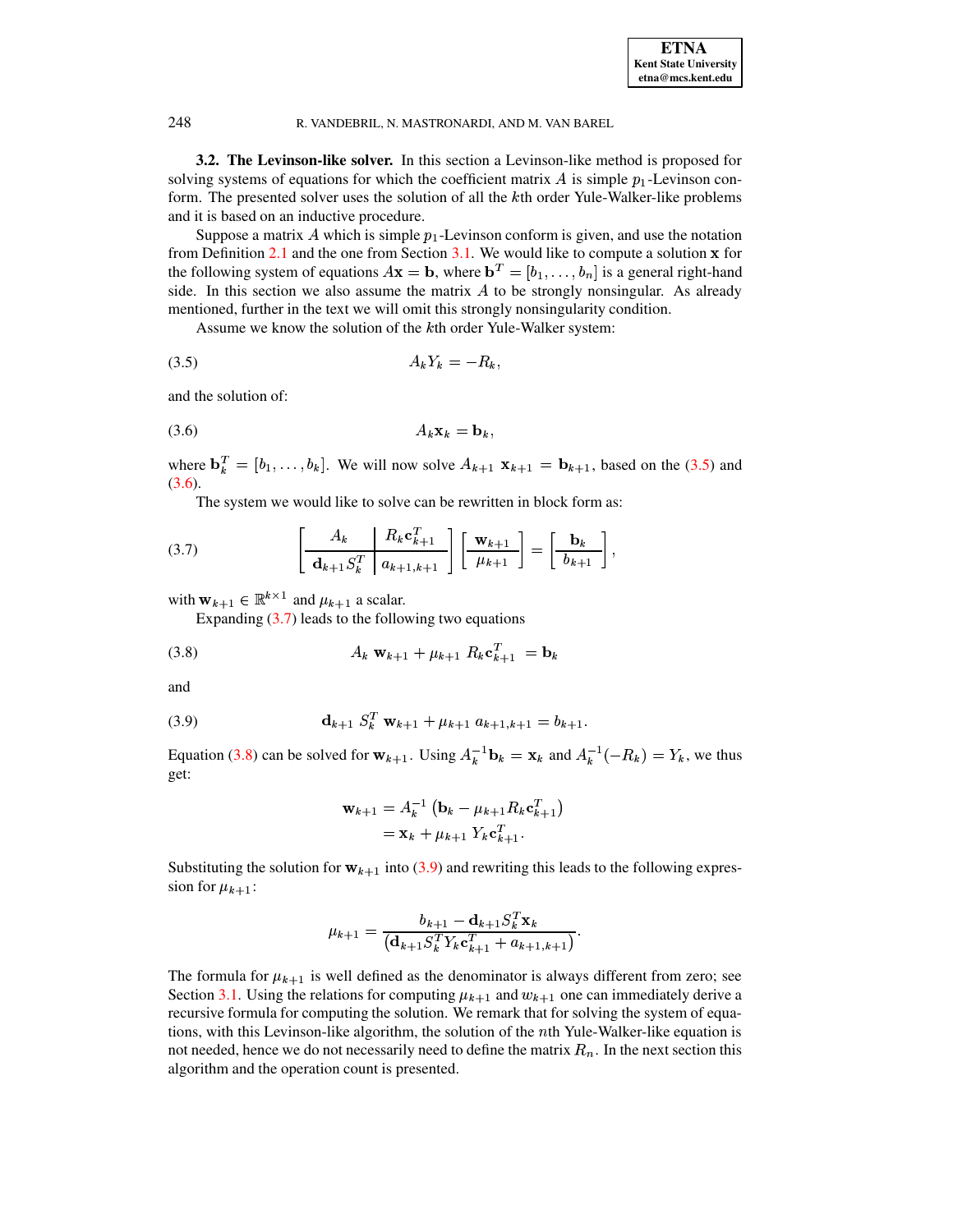**3.2. The Levinson-like solver.** In this section a Levinson-like method is proposed for solving systems of equations for which the coefficient matrix  $\vec{A}$  is simple  $p_1$ -Levinson conform. The presented solver uses the solution of all the kth order Yule-Walker-like problems and it is based on an inductive procedure.

Suppose a matrix A which is simple  $p_1$ -Levinson conform is given, and use the notation from Definition [2.1](#page-2-1) and the one from Section [3.1.](#page-3-2) We would like to compute a solution  $\bf{x}$  for the following system of equations  $A\mathbf{x} = \mathbf{b}$ , where  $\mathbf{b}^T = [b_1, \dots, b_n]$  is a general right-hand side. In this section we also assume the matrix  $A$  to be strongly nonsingular. As already mentioned, further in the text we will omit this strongly nonsingularity condition.

<span id="page-5-0"></span>Assume we know the solution of the k<sup>th</sup> order Yule-Walker system:

$$
(3.5) \t\t A_k Y_k = -R_k,
$$

<span id="page-5-1"></span>and the solution of:

$$
(3.6) \t\t\t A_k \mathbf{x}_k = \mathbf{b}_k,
$$

where  $\mathbf{b}_k^T = [b_1,\ldots,b_k]$ . We will now solve  $A_{k+1} \mathbf{x}_{k+1} = \mathbf{b}_{k+1}$ , based on the [\(3.5\)](#page-5-0) and  $(3.6).$  $(3.6).$ 

The system we would like to solve can be rewritten in block form as:

<span id="page-5-2"></span>(3.7) 
$$
\left[\begin{array}{c|c} A_k & R_k \mathbf{c}_{k+1}^T \\ \hline \mathbf{d}_{k+1} S_k^T & a_{k+1,k+1} \end{array}\right] \left[\begin{array}{c} \mathbf{w}_{k+1} \\ \hline \mu_{k+1} \end{array}\right] = \left[\begin{array}{c} \mathbf{b}_k \\ \hline b_{k+1} \end{array}\right],
$$

with  $\mathbf{w}_{k+1} \in \mathbb{R}^{k \times 1}$  and  $\mu_{k+1}$  a scalar.

Expanding  $(3.7)$  leads to the following two equations

(3.8) 
$$
A_k \mathbf{w}_{k+1} + \mu_{k+1} R_k \mathbf{c}_{k+1}^T = \mathbf{b}_k
$$

<span id="page-5-4"></span>and

(3.9) 
$$
\mathbf{d}_{k+1} S_k^T \mathbf{w}_{k+1} + \mu_{k+1} a_{k+1,k+1} = b_{k+1}.
$$

Equation [\(3.8\)](#page-5-3) can be solved for  $\mathbf{w}_{k+1}$ . Using  $A_k^{-1} \mathbf{b}_k = \mathbf{x}_k$  and  $A_k^{-1}(-R_k) = Y_k$ , we thus get:

<span id="page-5-3"></span>
$$
\mathbf{w}_{k+1} = A_k^{-1} \left( \mathbf{b}_k - \mu_{k+1} R_k \mathbf{c}_{k+1}^T \right)
$$
  
=  $\mathbf{x}_k + \mu_{k+1} Y_k \mathbf{c}_{k+1}^T$ .

Substituting the solution for  $w_{k+1}$  into [\(3.9\)](#page-5-4) and rewriting this leads to the following expression for  $\mu_{k+1}$ :

$$
\mu_{k+1} = \frac{b_{k+1} - \mathbf{d}_{k+1} S_k^T \mathbf{x}_k}{\left(\mathbf{d}_{k+1} S_k^T Y_k \mathbf{c}_{k+1}^T + a_{k+1,k+1}\right)}.
$$

The formula for  $\mu_{k+1}$  is well defined as the denominator is always different from zero; see Section [3.1.](#page-3-2) Using the relations for computing  $\mu_{k+1}$  and  $w_{k+1}$  one can immediately derive a recursive formula for computing the solution. We remark that for solving the system of equations, with this Levinson-like algorithm, the solution of the *n*th Yule-Walker-like equation is not needed, hence we do not necessarily need to define the matrix  $R_n$ . In the next section this algorithm and the operation count is presented.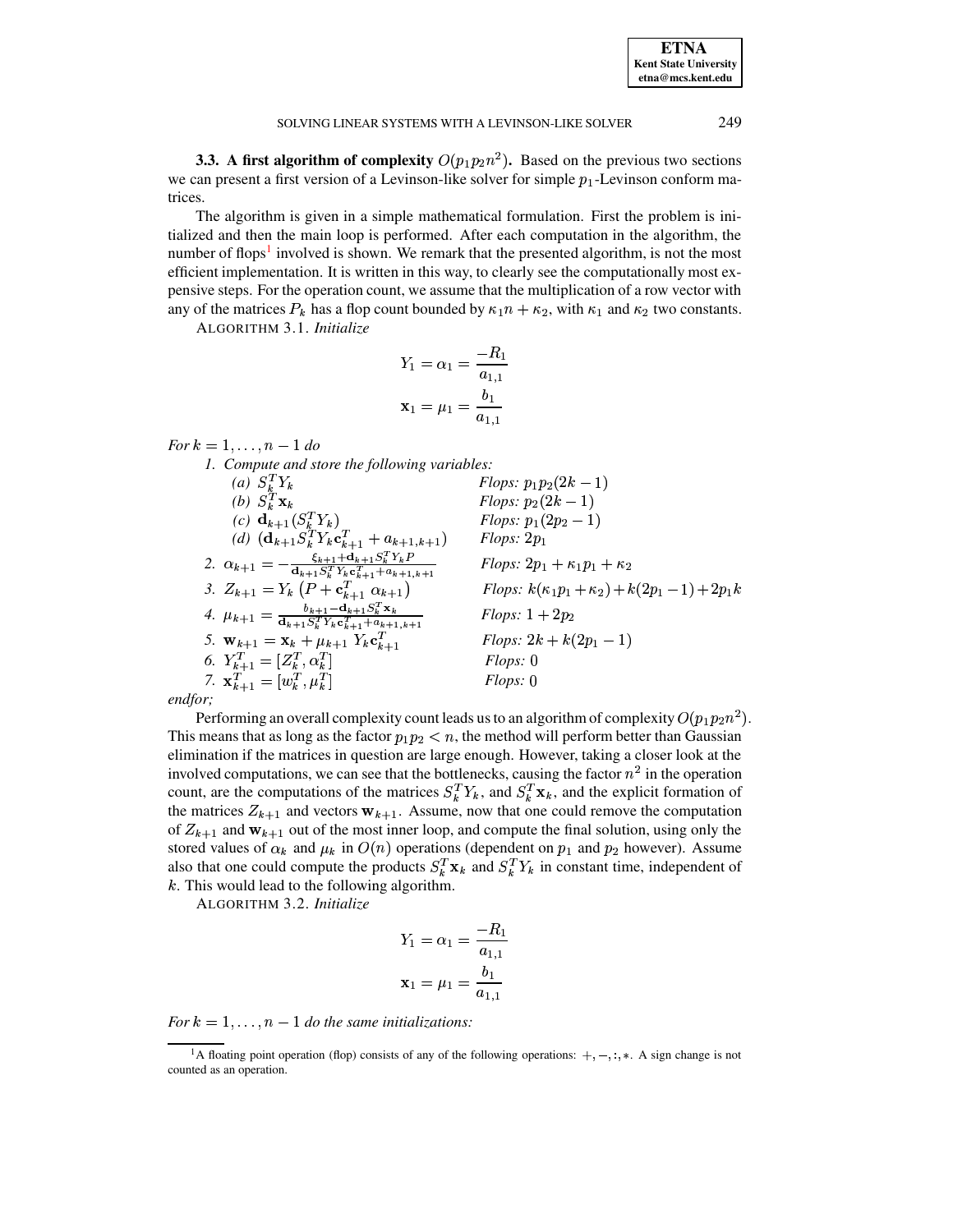<span id="page-6-0"></span>**3.3.** A first algorithm of complexity  $O(p_1p_2n^2)$ . Based on the previous two sections we can present a first version of a Levinson-like solver for simple  $p_1$ -Levinson conform matrices.

The algorithm is given in a simple mathematical formulation. First the problem is initialized and then the main loop is performed. After each computation in the algorithm, the number of flops<sup>1</sup> involved is shown. We remark that the presented algorithm, is not the most efficient implementation. It is written in this way, to clearly see the computationally most expensive steps. For the operation count, we assume that the multiplication of a row vector with any of the matrices  $P_k$  has a flop count bounded by  $\kappa_1 n + \kappa_2$ , with  $\kappa_1$  and  $\kappa_2$  two constants.

ALGORITHM 3.1. Initialize

$$
Y_1 = \alpha_1 = \frac{-R_1}{a_{1,1}}
$$

$$
\mathbf{x}_1 = \mu_1 = \frac{b_1}{a_{1,1}}
$$

For  $k = 1, ..., n - 1$  do

1. Compute and store the following variables:

1. Compute ana sione ine jouwwing ....<br>
(a)  $S_k^T Y_k$ <br>
(b)  $S_k^T x_k$ <br>
(c)  $\mathbf{d}_{k+1} (S_k^T Y_k)$ <br>
(d)  $(\mathbf{d}_{k+1} S_k^T Y_k \mathbf{c}_{k+1}^T + a_{k+1,k+1})$ <br>
2.  $\alpha_{k+1} = -\frac{\xi_{k+1} + \mathbf{d}_{k+1} S_k^T Y_k \mathbf{c}_{k+1}^T}{\mathbf{d}_{k+1} S_k^T Y_k \mathbf{c}_{k+1}^T +$ *Flops:*  $p_1p_2(2k-1)$ *Flops:*  $p_2(2k-1)$ *Flops:*  $p_1(2p_2 - 1)$  $Flops: 2p_1$  $Flops: 2p_1 + \kappa_1 p_1 + \kappa_2$ *Flops:*  $k(\kappa_1 p_1 + \kappa_2) + k(2p_1 - 1) + 2p_1 k$  $Flops: 1 + 2p_2$ 5.  $\mathbf{w}_{k+1} = \mathbf{x}_k + \mu_{k+1} Y_k \mathbf{c}_{k+1}^{T+1}$ <br>
6.  $Y_{k+1}^T = [Z_k^T, \alpha_k^T]$ <br>
7.  $\mathbf{x}_{k+1}^T = [w_k^T, \mu_k^T]$ *Flops:*  $2k + k(2p_1 - 1)$  $Flops: 0$  $Flops: 0$ 

endfor;

Performing an overall complexity count leads us to an algorithm of complexity  $O(p_1p_2n^2)$ . This means that as long as the factor  $p_1p_2 < n$ , the method will perform better than Gaussian elimination if the matrices in question are large enough. However, taking a closer look at the involved computations, we can see that the bottlenecks, causing the factor  $n^2$  in the operation count, are the computations of the matrices  $S_k^T Y_k$ , and  $S_k^T \mathbf{x}_k$ , and the explicit formation of the matrices  $Z_{k+1}$  and vectors  $w_{k+1}$ . Assume, now that one could remove the computation of  $Z_{k+1}$  and  $w_{k+1}$  out of the most inner loop, and compute the final solution, using only the stored values of  $\alpha_k$  and  $\mu_k$  in  $O(n)$  operations (dependent on  $p_1$  and  $p_2$  however). Assume also that one could compute the products  $S_k^T \mathbf{x}_k$  and  $S_k^T Y_k$  in constant time, independent of  $k$ . This would lead to the following algorithm.

ALGORITHM 3.2. Initialize

$$
Y_1 = \alpha_1 = \frac{-R_1}{a_{1,1}}
$$

$$
\mathbf{x}_1 = \mu_1 = \frac{b_1}{a_{1,1}}
$$

For  $k = 1, \ldots, n - 1$  do the same initializations:

<span id="page-6-1"></span><sup>&</sup>lt;sup>1</sup>A floating point operation (flop) consists of any of the following operations:  $+, -, :,*$  A sign change is not counted as an operation.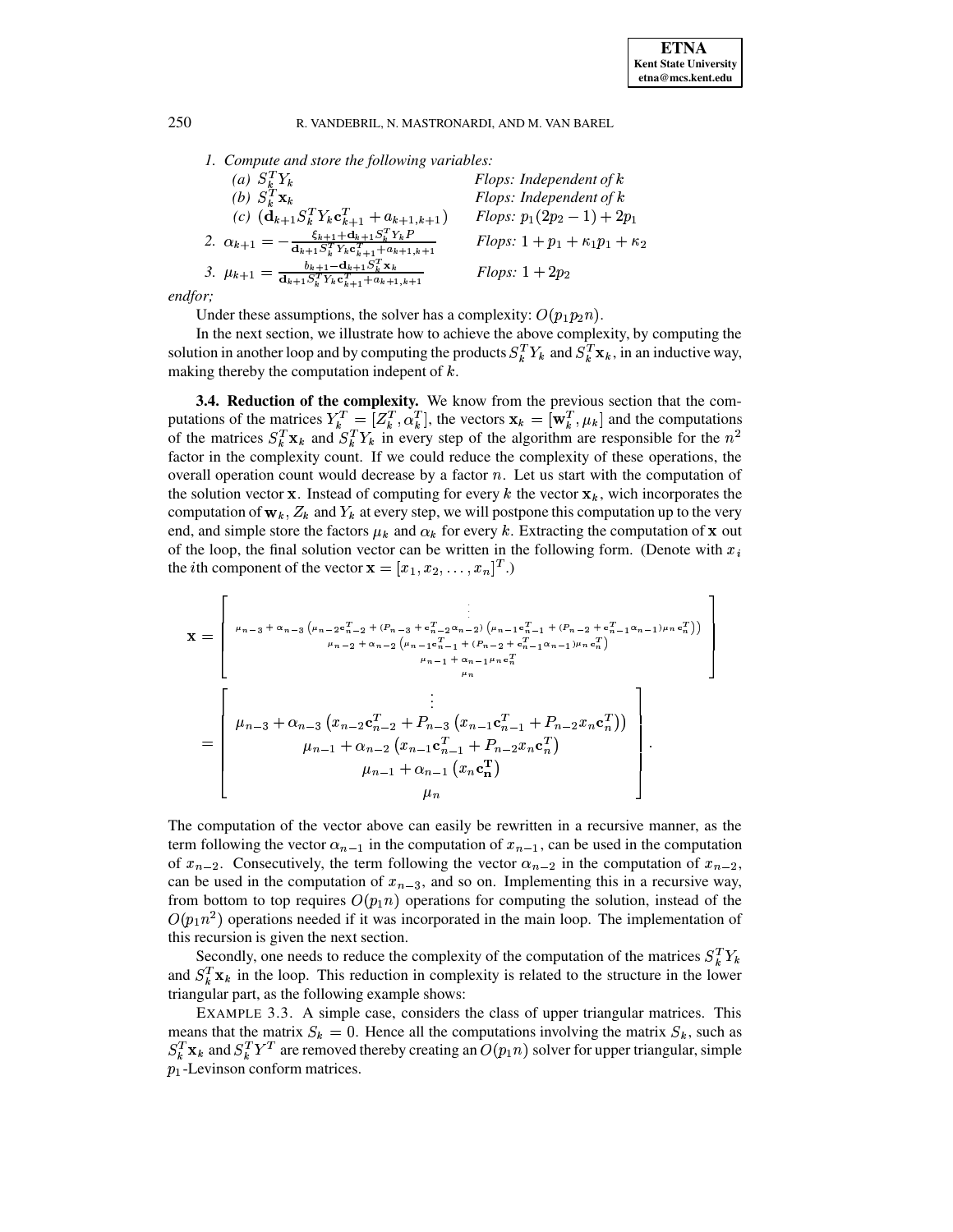*1. Compute and store the following variables:*

| (a) $S_k^T Y_k$                                                                                                                                                           | Flops: Independent of $k$                          |
|---------------------------------------------------------------------------------------------------------------------------------------------------------------------------|----------------------------------------------------|
| (b) $S_k^T \mathbf{x}_k$                                                                                                                                                  | Flops: Independent of $k$                          |
| (c) $(\mathbf{d}_{k+1} S_k^T Y_k \mathbf{c}_{k+1}^T + a_{k+1,k+1})$                                                                                                       | <i>Flops:</i> $p_1(2p_2 - 1) + 2p_1$               |
| 2. $\alpha_{k+1} = -\frac{\xi_{k+1} + \mathbf{d}_{k+1} S_k^T Y_k P}{\mathbf{d}_{k+1} S_k^T Y_k \mathbf{c}_{k+1}^T + a_{k+1,k+1}}$                                         | <i>Flops</i> : $1 + p_1 + \kappa_1 p_1 + \kappa_2$ |
| $b_{k+1}$ – $\mathbf{d}_{k+1}S_k^T\mathbf{x}_k$<br>3. $\mu_{k+1} = \frac{a_{k+1} s_k^T Y_k \sigma_{k+1}^T + a_{k+1,k+1}}{a_{k+1} s_k^T Y_k \sigma_{k+1}^T + a_{k+1,k+1}}$ | Flops: $1+2p_2$                                    |
|                                                                                                                                                                           |                                                    |

*endfor;*

Under these assumptions, the solver has a complexity:  $O(p_1 p_2 n)$ .

In the next section, we illustrate how to achieve the above complexity, by computing the solution in another loop and by computing the products  $S_k^T Y_k$  and  $S_k^T \mathbf{x}_k$ , in an inductive way, making thereby the computation indepent of  $k$ .

<span id="page-7-0"></span>**3.4. Reduction of the complexity.** We know from the previous section that the computations of the matrices  $Y_k^T = [Z_k^T, \alpha_k^T]$ , the vectors  $\mathbf{x}_k = [\mathbf{w}_k^T, \mu_k]$  and the computations of the matrices  $S_k^T \mathbf{x}_k$  and  $S_k^T Y_k$  in every step of the algorithm are responsible for the  $n^2$ factor in the complexity count. If we could reduce the complexity of these operations, the overall operation count would decrease by a factor  $n$ . Let us start with the computation of the solution vector  $\bf{x}$ . Instead of computing for every k the vector  $\bf{x}_k$ , wich incorporates the computation of  $w_k$ ,  $Z_k$  and  $Y_k$  at every step, we will postpone this computation up to the very end, and simple store the factors  $\mu_k$  and  $\alpha_k$  for every k. Extracting the computation of **x** out of the loop, the final solution vector can be written in the following form. (Denote with  $x_i$ the *i*th component of the vector  $\mathbf{x} = [x_1, x_2, \dots, x_n]^T$ .)

$$
\mathbf{x} = \begin{bmatrix}\n\mu_{n-3} + \alpha_{n-3} (\mu_{n-2} e_{n-2}^T + (P_{n-3} + e_{n-2}^T \alpha_{n-2}) (\mu_{n-1} e_{n-1}^T + (P_{n-2} + e_{n-1}^T \alpha_{n-1}) \mu_n e_n^T)) \\
\mu_{n-2} + \alpha_{n-2} (\mu_{n-1} e_{n-1}^T + (P_{n-2} + e_{n-1}^T \alpha_{n-1}) \mu_n e_n^T) \\
\mu_{n-1} + \alpha_{n-1} \mu_n e_n^T\n\end{bmatrix}
$$
\n
$$
= \begin{bmatrix}\n\mu_{n-3} + \alpha_{n-3} (x_{n-2} e_{n-2}^T + P_{n-3} (x_{n-1} e_{n-1}^T + P_{n-2} x_n e_n^T)) \\
\mu_{n-1} + \alpha_{n-2} (x_{n-1} e_{n-1}^T + P_{n-2} x_n e_n^T) \\
\mu_{n-1} + \alpha_{n-1} (x_n e_n^T)\n\end{bmatrix}
$$

The computation of the vector above can easily be rewritten in a recursive manner, as the term following the vector  $\alpha_{n-1}$  in the computation of  $x_{n-1}$ , can be used in the computation of  $x_{n-2}$ . Consecutively, the term following the vector  $\alpha_{n-2}$  in the computation of  $x_{n-2}$ , can be used in the computation of  $x_{n-3}$ , and so on. Implementing this in a recursive way, from bottom to top requires  $O(p_1 n)$  operations for computing the solution, instead of the  $O(p_1 n^2)$  operations needed if it was incorporated in the main loop. The implementation of this recursion is given the next section.

Secondly, one needs to reduce the complexity of the computation of the matrices  $S_k^T Y_k$ and  $S_k^T$ **x**<sub>k</sub> in the loop. This reduction in complexity is related to the structure in the lower triangular part, as the following example shows:

EXAMPLE 3.3. A simple case, considers the class of upper triangular matrices. This means that the matrix  $S_k = 0$ . Hence all the computations involving the matrix  $S_k$ , such as  $S_k^T \mathbf{x}_k$  and  $S_k^T Y^T$  are removed thereby creating an  $O(p_1 n)$  solver for upper triangular, simple  $p_1$ -Levinson conform matrices.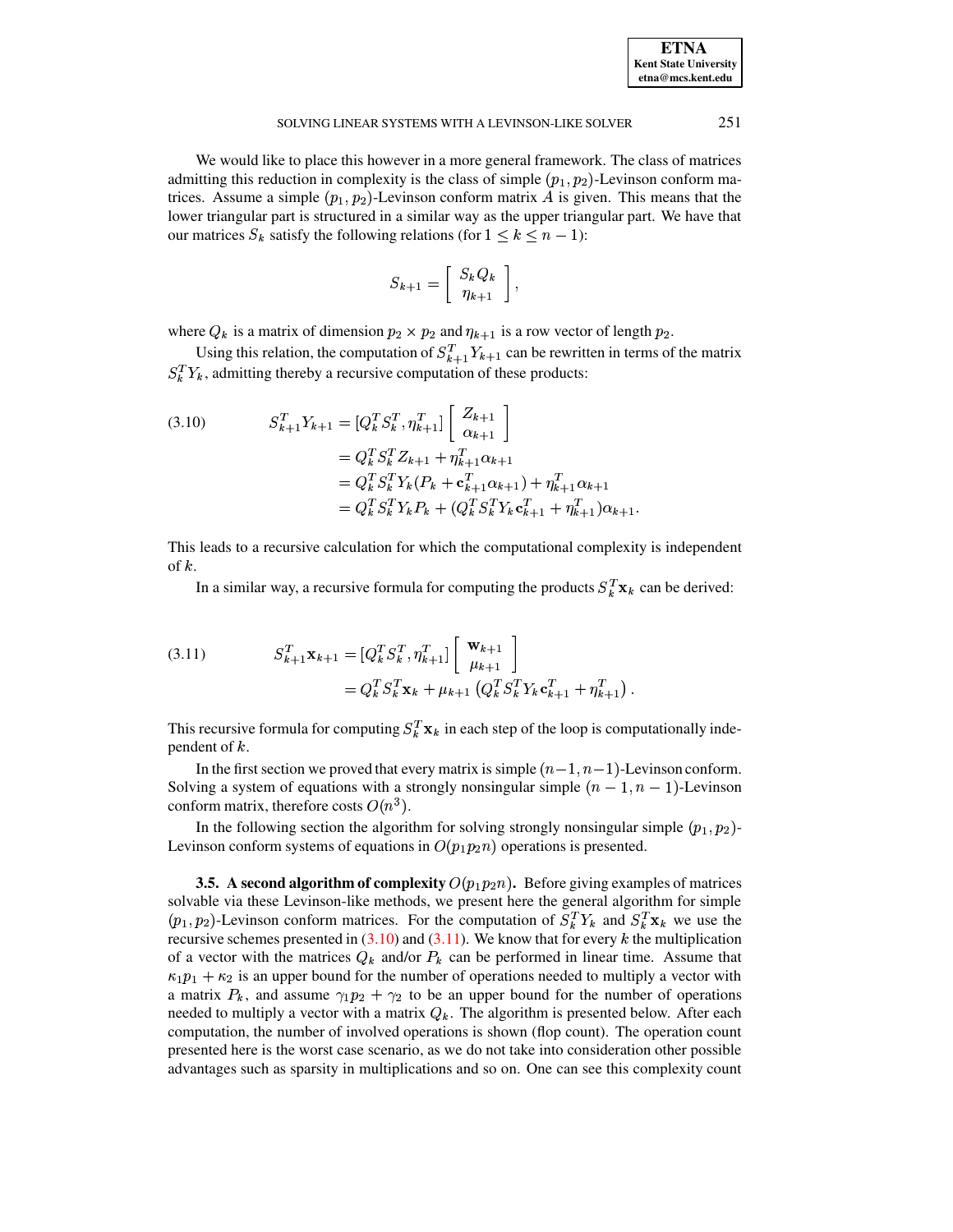| <b>ETNA</b>                  |
|------------------------------|
| <b>Kent State University</b> |
| etna@mcs.kent.edu            |

## SOLVING LINEAR SYSTEMS WITH A LEVINSON-LIKE SOLVER 251

We would like to place this however in a more general framework. The class of matrices admitting this reduction in complexity is the class of simple  $(p_1, p_2)$ -Levinson conform matrices. Assume a simple  $(p_1, p_2)$ -Levinson conform matrix A is given. This means that the lower triangular part is structured in a similar way as the upper triangular part. We have that our matrices  $S_k$  satisfy the following relations (for  $1 \le k \le n - 1$ ):

$$
S_{k+1} = \left[ \begin{array}{c} S_k Q_k \\ \eta_{k+1} \end{array} \right],
$$

where  $Q_k$  is a matrix of dimension  $p_2 \times p_2$  and  $\eta_{k+1}$  is a row vector of length  $p_2$ .

Using this relation, the computation of  $S_{k+1}^T Y_{k+1}$  can be rewritten in terms of the matrix  $S_k^T Y_k$ , admitting thereby a recursive computation of these products:

<span id="page-8-1"></span>(3.10) 
$$
S_{k+1}^T Y_{k+1} = [Q_k^T S_k^T, \eta_{k+1}^T] \begin{bmatrix} Z_{k+1} \\ \alpha_{k+1} \end{bmatrix}
$$

$$
= Q_k^T S_k^T Z_{k+1} + \eta_{k+1}^T \alpha_{k+1}
$$

$$
= Q_k^T S_k^T Y_k (P_k + \mathbf{c}_{k+1}^T \alpha_{k+1}) + \eta_{k+1}^T \alpha_{k+1}
$$

$$
= Q_k^T S_k^T Y_k P_k + (Q_k^T S_k^T Y_k \mathbf{c}_{k+1}^T + \eta_{k+1}^T) \alpha_{k+1}.
$$

This leads to a recursive calculation for which the computational complexity is independent of  $k$ .

In a similar way, a recursive formula for computing the products  $S_k^T \mathbf{x}_k$  can be derived:

<span id="page-8-2"></span>(3.11) 
$$
S_{k+1}^T \mathbf{x}_{k+1} = [Q_k^T S_k^T, \eta_{k+1}^T] \begin{bmatrix} \mathbf{w}_{k+1} \\ \mu_{k+1} \end{bmatrix} = Q_k^T S_k^T \mathbf{x}_k + \mu_{k+1} (Q_k^T S_k^T Y_k \mathbf{c}_{k+1}^T + \eta_{k+1}^T).
$$

This recursive formula for computing  $S_k^T \mathbf{x}_k$  in each step of the loop is computationally independent of  $k$ .

In the first section we proved that every matrix is simple  $(n-1, n-1)$ -Levinson conform. Solving a system of equations with a strongly nonsingular simple  $(n - 1, n - 1)$ -Levinson conform matrix, therefore costs  $O(n^3)$ .

In the following section the algorithm for solving strongly nonsingular simple  $(p_1, p_2)$ -Levinson conform systems of equations in  $O(p_1p_2n)$  operations is presented.

<span id="page-8-0"></span>**3.5. A** second algorithm of complexity  $O(p_1p_2n)$ . Before giving examples of matrices solvable via these Levinson-like methods, we present here the general algorithm for simple  $(p_1, p_2)$ -Levinson conform matrices. For the computation of  $S_k^T Y_k$  and  $S_k^T \mathbf{x}_k$  we use the recursive schemes presented in  $(3.10)$  and  $(3.11)$ . We know that for every k the multiplication of a vector with the matrices  $Q_k$  and/or  $P_k$  can be performed in linear time. Assume that  $\kappa_1 p_1 + \kappa_2$  is an upper bound for the number of operations needed to multiply a vector with a matrix  $P_k$ , and assume  $\gamma_1 p_2 + \gamma_2$  to be an upper bound for the number of operations needed to multiply a vector with a matrix  $Q_k$ . The algorithm is presented below. After each computation, the number of involved operations is shown (flop count). The operation count presented here is the worst case scenario, as we do not take into consideration other possible advantages such as sparsity in multiplications and so on. One can see this complexity count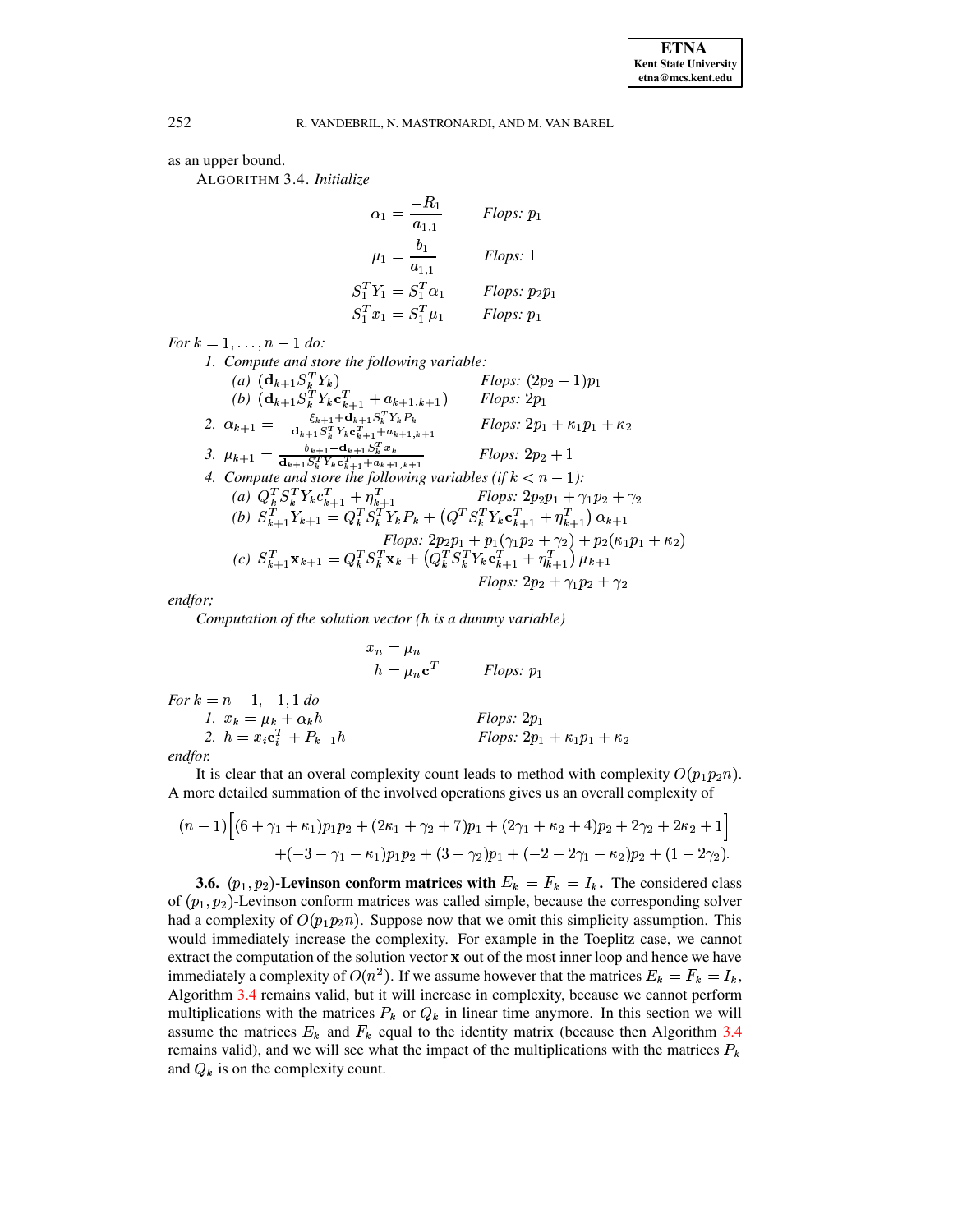<span id="page-9-0"></span>as an upper bound.

ALGORITHM 3.4. Initialize

$$
\alpha_1 = \frac{-R_1}{a_{1,1}} \qquad \text{Flops: } p_1
$$

$$
\mu_1 = \frac{b_1}{a_{1,1}} \qquad \text{Flops: } 1
$$

$$
S_1^T Y_1 = S_1^T \alpha_1 \qquad \text{Flops: } p_2 p_1
$$

$$
S_1^T x_1 = S_1^T \mu_1 \qquad \text{Flops: } p_1
$$

For  $k = 1, ..., n - 1$  do:

1. Compute and store the following variable: 7. Compute and site the jointwing variable<br>
(a)  $(\mathbf{d}_{k+1} S_k^T Y_k)$ <br>
(b)  $(\mathbf{d}_{k+1} S_k^T Y_k \mathbf{c}_{k+1}^T + a_{k+1,k+1})$ <br>
2.  $\alpha_{k+1} = -\frac{\xi_{k+1} + \mathbf{d}_{k+1} S_k^T Y_k \mathbf{c}_{k+1}^T}{\mathbf{d}_{k+1} S_k^T Y_k \mathbf{c}_{k+1}^T + a_{k+1,k+1}}$ <br>
3.  $\mu_{k+1} = \$ *Flops:*  $(2p_2 - 1)p_1$  $Flops: 2p_1$ *Flops:*  $2p_1 + \kappa_1 p_1 + \kappa_2$  $Flops: 2p_2 + 1$ 4. Compute and store the following variables (if  $k < n - 1$ ): (a)  $Q_k^T S_k^T Y_k c_{k+1}^T + \eta_{k+1}^T$  Flops:  $2p_2p_1 + \gamma_1p_2 + \gamma_2$ <br>
(b)  $S_{k+1}^T Y_{k+1} = Q_k^T S_k^T Y_k P_k + (Q^T S_k^T Y_k c_{k+1}^T + \eta_{k+1}^T) \alpha_{k+1}$  $Flops: 2p_2p_1 + p_1(\gamma_1p_2 + \gamma_2) + p_2(\kappa_1p_1 + \kappa_2)$ <br>(c)  $S_{k+1}^T \mathbf{x}_{k+1} = Q_k^T S_k^T \mathbf{x}_k + (Q_k^T S_k^T Y_k \mathbf{c}_{k+1}^T + \eta_{k+1}^T) \mu_{k+1}$ *Flops:*  $2p_2 + \gamma_1 p_2 + \gamma_2$ 

endfor;

Computation of the solution vector  $(h$  is a dummy variable)

$$
x_n = \mu_n
$$
  
\n
$$
h = \mu_n \mathbf{c}^T
$$
 Flops:  $p_1$   
\nFor  $k = n - 1, -1, 1$  do  
\n1.  $x_k = \mu_k + \alpha_k h$  Flops:  $2p_1$   
\n2.  $h = x_i \mathbf{c}_i^T + P_{k-1} h$  Flops:  $2p_1 + \kappa_1 p_1 + \kappa_2$ 

endfor.

It is clear that an overal complexity count leads to method with complexity  $O(p_1p_2n)$ . A more detailed summation of the involved operations gives us an overall complexity of

$$
(n-1)\left[(6+\gamma_1+\kappa_1)p_1p_2+(2\kappa_1+\gamma_2+7)p_1+(2\gamma_1+\kappa_2+4)p_2+2\gamma_2+2\kappa_2+1\right] +(-3-\gamma_1-\kappa_1)p_1p_2+(3-\gamma_2)p_1+(-2-2\gamma_1-\kappa_2)p_2+(1-2\gamma_2).
$$

<span id="page-9-1"></span>**3.6.**  $(p_1, p_2)$ -Levinson conform matrices with  $E_k = F_k = I_k$ . The considered class of  $(p_1, p_2)$ -Levinson conform matrices was called simple, because the corresponding solver had a complexity of  $O(p_1p_2n)$ . Suppose now that we omit this simplicity assumption. This would immediately increase the complexity. For example in the Toeplitz case, we cannot extract the computation of the solution vector x out of the most inner loop and hence we have immediately a complexity of  $O(n^2)$ . If we assume however that the matrices  $E_k = F_k = I_k$ , Algorithm 3.4 remains valid, but it will increase in complexity, because we cannot perform multiplications with the matrices  $P_k$  or  $Q_k$  in linear time anymore. In this section we will assume the matrices  $E_k$  and  $F_k$  equal to the identity matrix (because then Algorithm 3.4 remains valid), and we will see what the impact of the multiplications with the matrices  $P_k$ and  $Q_k$  is on the complexity count.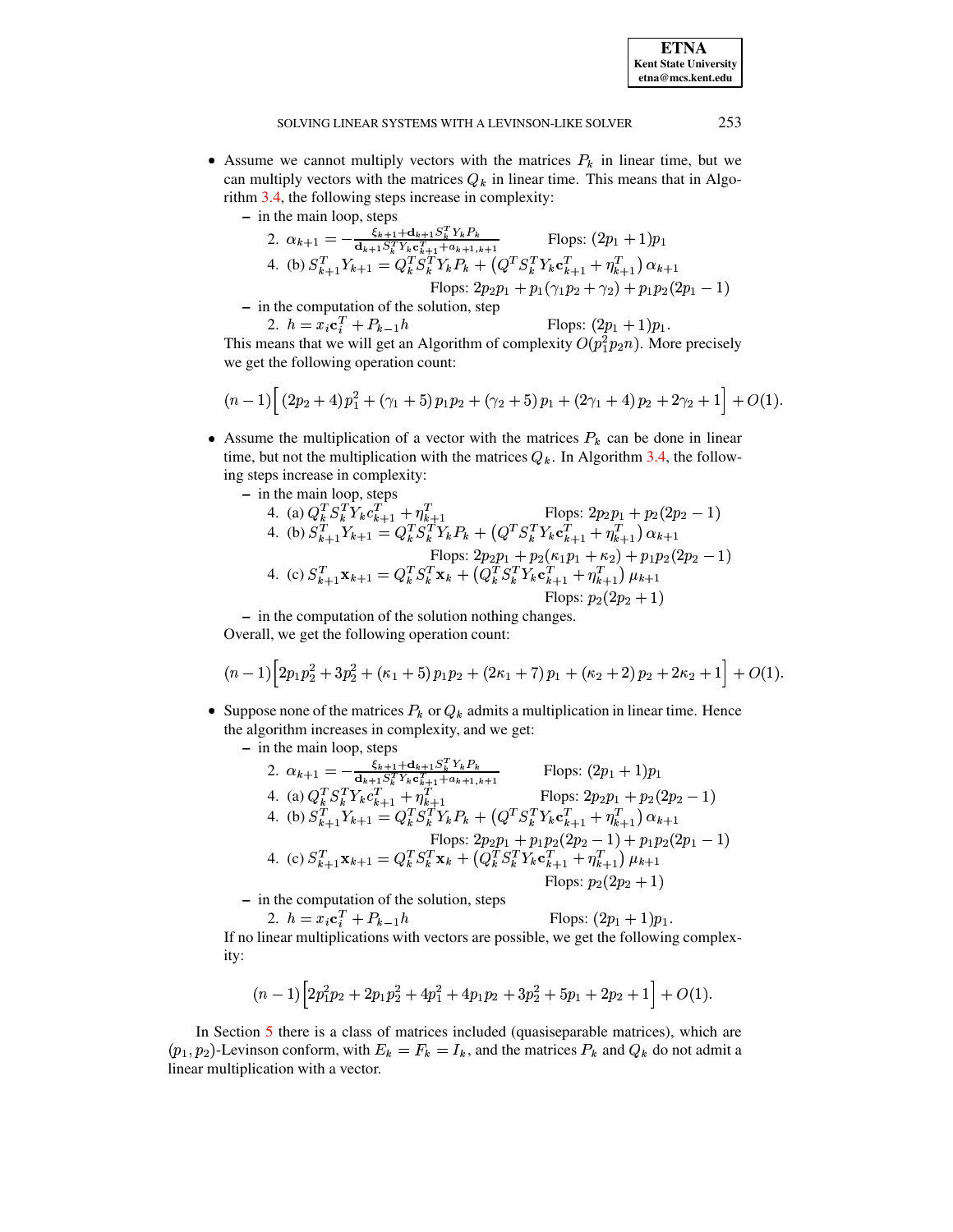**ETNA Kent State University**  $etna@mcs. kent.edu$ 

#### SOLVING LINEAR SYSTEMS WITH A LEVINSON-LIKE SOLVER

- Assume we cannot multiply vectors with the matrices  $P_k$  in linear time, but we can multiply vectors with the matrices  $Q_k$  in linear time. This means that in Algorithm 3.4, the following steps increase in complexity:
	- $-$  in the main loop, steps

2. 
$$
\alpha_{k+1} = -\frac{\xi_{k+1} + d_{k+1} S_k^T Y_k P_k}{d_{k+1} S_k^T Y_k c_{k+1}^T + a_{k+1,k+1}}
$$
 Flops:  $(2p_1 + 1)p_1$   
4. (b) 
$$
S_{k+1}^T Y_{k+1} = Q_k^T S_k^T Y_k P_k + (Q^T S_k^T Y_k c_{k+1}^T + \eta_{k+1}^T) \alpha_{k+1}
$$
 Flops:  $2p_2 p_1 + p_1 (\gamma_1 p_2 + \gamma_2) + p_1 p_2 (2p_1 - 1)$ 

- in the computation of the solution, step 2.  $h = x_i \mathbf{c}_i^T + P_{k-1}h$ Flops:  $(2p_1 + 1)p_1$ .

This means that we will get an Algorithm of complexity  $O(p_1^2p_2n)$ . More precisely we get the following operation count:

$$
(n-1)\left[\left(2p_2+4\right)p_1^2+\left(\gamma_1+5\right)p_1p_2+\left(\gamma_2+5\right)p_1+\left(2\gamma_1+4\right)p_2+2\gamma_2+1\right]+O(1).
$$

- Assume the multiplication of a vector with the matrices  $P_k$  can be done in linear time, but not the multiplication with the matrices  $Q_k$ . In Algorithm 3.4, the following steps increase in complexity:
	- in the main loop, steps<br>
	4. (a)  $Q_k^T S_k^T Y_k c_{k+1}^T + \eta_{k+1}^T$ <br>
	4. (b)  $S_{k+1}^T Y_{k+1} = Q_k^T S_k^T Y_k P_k + (Q^T S_k^T Y_k c_{k+1}^T + \eta_{k+1}^T) \alpha_{k+1}$ Flops:  $2p_2p_1 + p_2(2p_2 - 1)$ Flops:  $2p_2p_1 + p_2(\kappa_1p_1 + \kappa_2) + p_1p_2(2p_2 - 1)$ <br>4. (c)  $S_{k+1}^T \mathbf{x}_{k+1} = Q_k^T S_k^T \mathbf{x}_k + (Q_k^T S_k^T Y_k \mathbf{c}_{k+1}^T + \eta_{k+1}^T) \mu_{k+1}$ Flops:  $p_2(2p_2 + 1)$

- in the computation of the solution nothing changes. Overall, we get the following operation count:

$$
(n-1)\left[2p_1p_2^2+3p_2^2+\left(\kappa_1+5\right)p_1p_2+\left(2\kappa_1+7\right)p_1+\left(\kappa_2+2\right)p_2+2\kappa_2+1\right]+O(1)
$$

- Suppose none of the matrices  $P_k$  or  $Q_k$  admits a multiplication in linear time. Hence the algorithm increases in complexity, and we get:
	- $-$  in the main loop, steps

2. 
$$
\alpha_{k+1} = -\frac{\xi_{k+1} + \mathbf{d}_{k+1} S_k^T Y_k P_k}{\mathbf{d}_{k+1} S_k^T Y_k c_{k+1}^T + a_{k+1,k+1}}
$$
 Flops:  $(2p_1 + 1)p_1$   
\n4. (a)  $Q_k^T S_k^T Y_k c_{k+1}^T + \eta_{k+1}^T$  Flops:  $2p_2p_1 + p_2(2p_2 - 1)$   
\n4. (b)  $S_{k+1}^T Y_{k+1} = Q_k^T S_k^T Y_k P_k + (Q^T S_k^T Y_k c_{k+1}^T + \eta_{k+1}^T) \alpha_{k+1}$   
\nFlops:  $2p_2p_1 + p_1p_2(2p_2 - 1) + p_1p_2(2p_1 - 1)$   
\n4. (c)  $S_{k+1}^T \mathbf{x}_{k+1} = Q_k^T S_k^T \mathbf{x}_k + (Q_k^T S_k^T Y_k c_{k+1}^T + \eta_{k+1}^T) \mu_{k+1}$   
\nFlops:  $p_2(2p_2 + 1)$ 

- in the computation of the solution, steps

2.  $h = x_i \mathbf{c}_i^T + P_{k-1}h$ Flops:  $(2p_1 + 1)p_1$ . If no linear multiplications with vectors are possible, we get the following complexity:

$$
(n-1)\left[2p_1^2p_2+2p_1p_2^2+4p_1^2+4p_1p_2+3p_2^2+5p_1+2p_2+1\right]+O(1).
$$

In Section 5 there is a class of matrices included (quasiseparable matrices), which are  $(p_1, p_2)$ -Levinson conform, with  $E_k = F_k = I_k$ , and the matrices  $P_k$  and  $Q_k$  do not admit a linear multiplication with a vector.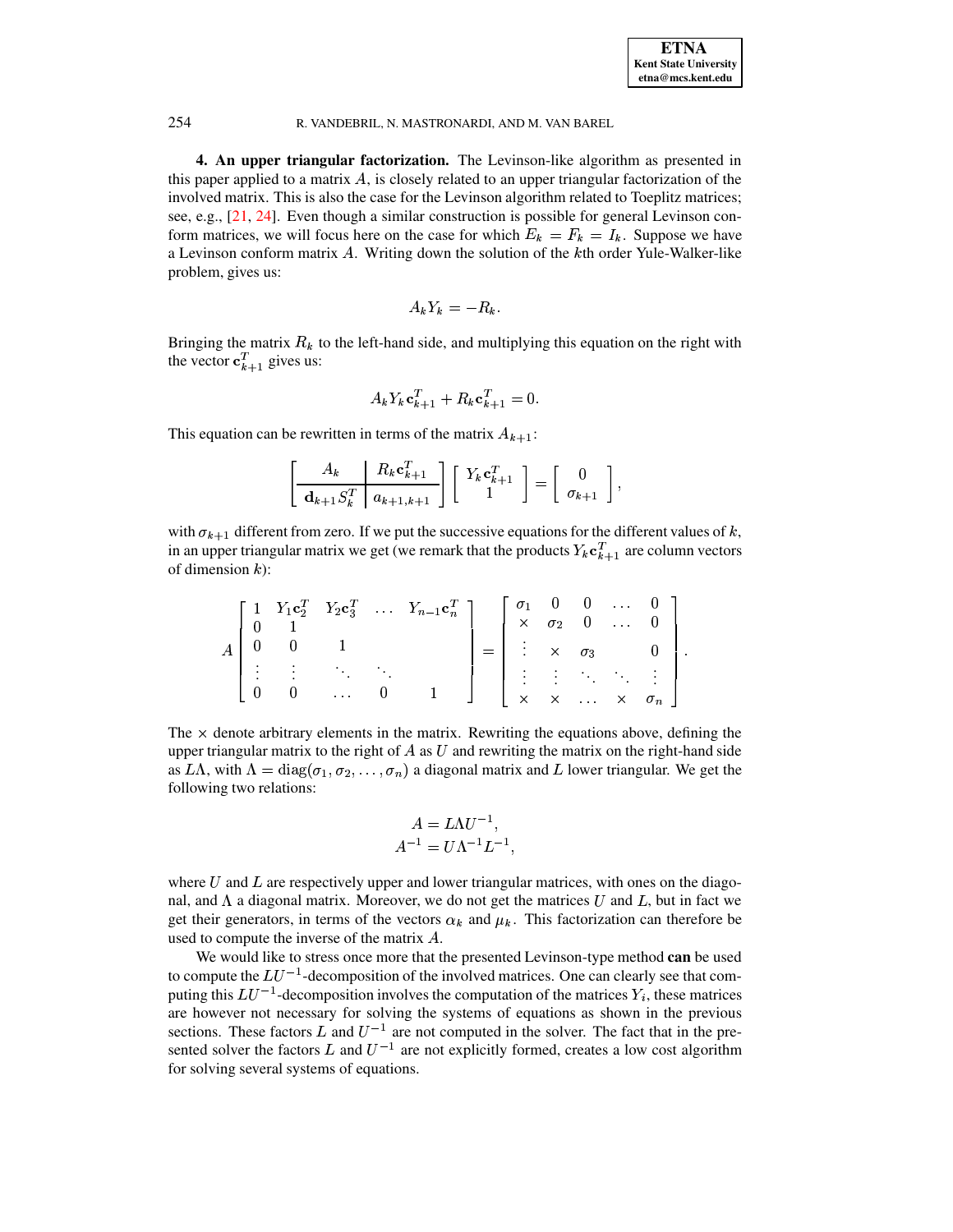4. An upper triangular factorization. The Levinson-like algorithm as presented in this paper applied to a matrix  $A$ , is closely related to an upper triangular factorization of the involved matrix. This is also the case for the Levinson algorithm related to Toeplitz matrices; see, e.g., [21, 24]. Even though a similar construction is possible for general Levinson conform matrices, we will focus here on the case for which  $E_k = F_k = I_k$ . Suppose we have a Levinson conform matrix A. Writing down the solution of the kth order Yule-Walker-like problem, gives us:

$$
A_k Y_k = -R_k.
$$

Bringing the matrix  $R_k$  to the left-hand side, and multiplying this equation on the right with the vector  $\mathbf{c}_{k+1}^T$  gives us:

$$
A_k Y_k \mathbf{c}_{k+1}^T + R_k \mathbf{c}_{k+1}^T = 0.
$$

This equation can be rewritten in terms of the matrix  $A_{k+1}$ :

<span id="page-11-0"></span>254

$$
\left[\begin{array}{c|c} A_k & R_k \mathbf{c}_{k+1}^T \\ \hline \mathbf{d}_{k+1} S_k^T & a_{k+1,k+1} \end{array}\right] \left[\begin{array}{c} Y_k \mathbf{c}_{k+1}^T \\ 1 \end{array}\right] = \left[\begin{array}{c} 0 \\ \sigma_{k+1} \end{array}\right],
$$

with  $\sigma_{k+1}$  different from zero. If we put the successive equations for the different values of k, in an upper triangular matrix we get (we remark that the products  $Y_k \mathbf{c}_{k+1}^T$  are column vectors of dimension  $k$ ):

|  |   |                                                                                     |        | $\begin{bmatrix} 1 & Y_1 \mathbf{c}_2^T & Y_2 \mathbf{c}_3^T & \dots & Y_{n-1} \mathbf{c}_n^T \end{bmatrix}$ |                                                                            |  | $0 \ldots 0$ | $\times$ $\sigma_2$ 0  0              |  |
|--|---|-------------------------------------------------------------------------------------|--------|--------------------------------------------------------------------------------------------------------------|----------------------------------------------------------------------------|--|--------------|---------------------------------------|--|
|  |   |                                                                                     |        |                                                                                                              | $=$ $\begin{array}{ccc} \vdots & \times & \sigma_3 & \qquad 0 \end{array}$ |  |              |                                       |  |
|  |   | $\mathcal{L}^{\text{max}}_{\text{max}}$ and $\mathcal{L}^{\text{max}}_{\text{max}}$ |        |                                                                                                              |                                                                            |  |              | 主主义人主义                                |  |
|  | 0 | and the state                                                                       | $\cup$ |                                                                                                              |                                                                            |  |              | $\times$ $\times$ $\times$ $\sigma_n$ |  |

The  $\times$  denote arbitrary elements in the matrix. Rewriting the equations above, defining the upper triangular matrix to the right of  $A$  as  $U$  and rewriting the matrix on the right-hand side as LA, with  $\Lambda = diag(\sigma_1, \sigma_2, \ldots, \sigma_n)$  a diagonal matrix and L lower triangular. We get the following two relations:

$$
A = L\Lambda U^{-1},
$$
  

$$
A^{-1} = U\Lambda^{-1}L^{-1},
$$

where  $U$  and  $L$  are respectively upper and lower triangular matrices, with ones on the diagonal, and  $\Lambda$  a diagonal matrix. Moreover, we do not get the matrices U and L, but in fact we get their generators, in terms of the vectors  $\alpha_k$  and  $\mu_k$ . This factorization can therefore be used to compute the inverse of the matrix A.

We would like to stress once more that the presented Levinson-type method can be used to compute the  $LU^{-1}$ -decomposition of the involved matrices. One can clearly see that computing this  $LU^{-1}$ -decomposition involves the computation of the matrices  $Y_i$ , these matrices are however not necessary for solving the systems of equations as shown in the previous sections. These factors L and  $U^{-1}$  are not computed in the solver. The fact that in the presented solver the factors L and  $U^{-1}$  are not explicitly formed, creates a low cost algorithm for solving several systems of equations.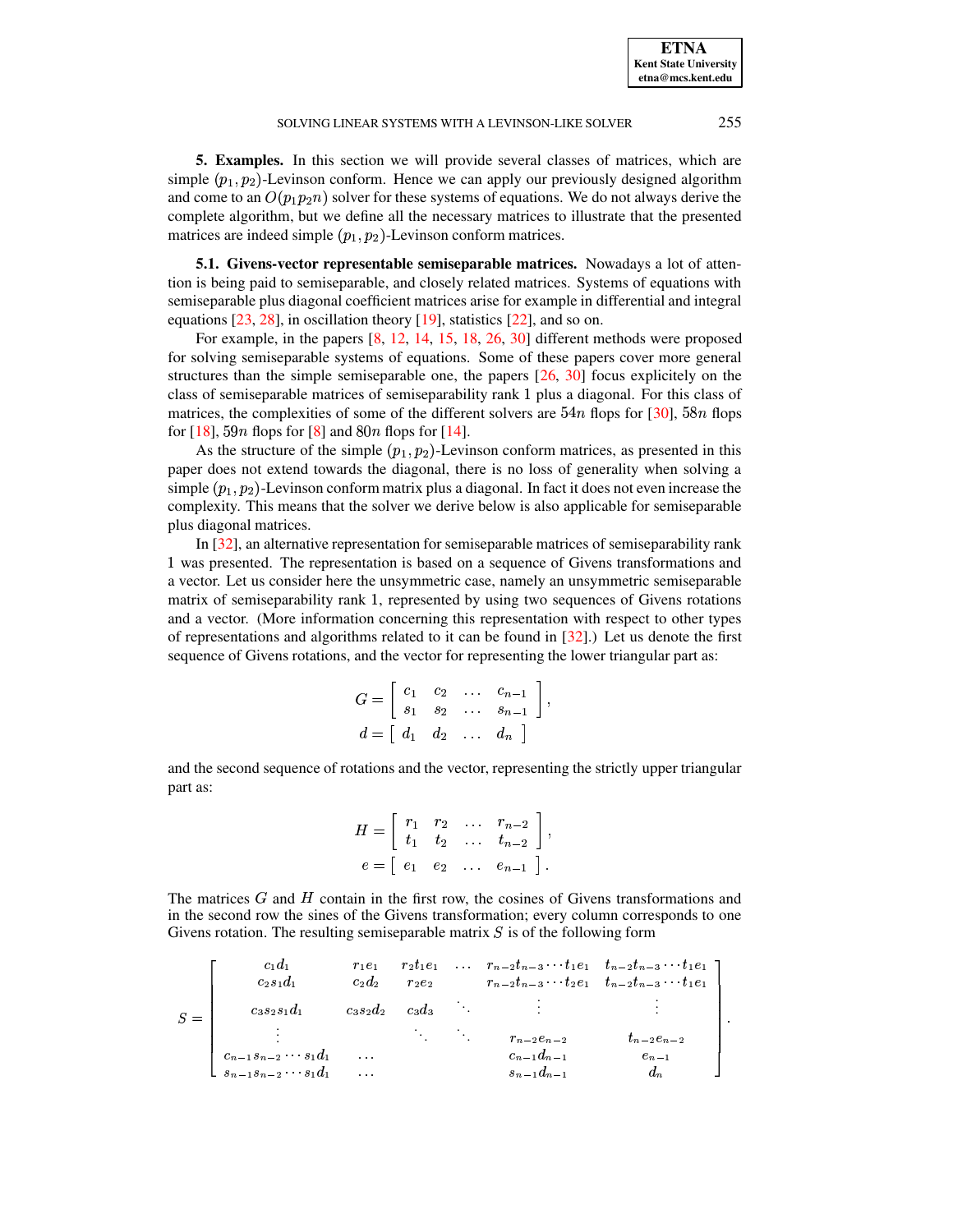<span id="page-12-0"></span>**5. Examples.** In this section we will provide several classes of matrices, which are simple  $(p_1, p_2)$ -Levinson conform. Hence we can apply our previously designed algorithm and come to an  $O(p_1 p_2 n)$  solver for these systems of equations. We do not always derive the complete algorithm, but we define all the necessary matrices to illustrate that the presented matrices are indeed simple  $(p_1, p_2)$ -Levinson conform matrices.

**5.1. Givens-vector representable semiseparable matrices.** Nowadays a lot of attention is being paid to semiseparable, and closely related matrices. Systems of equations with semiseparable plus diagonal coefficient matrices arise for example in differential and integral equations [\[23,](#page-25-8) [28\]](#page-26-3), in oscillation theory [\[19\]](#page-25-9), statistics [\[22\]](#page-25-10), and so on.

For example, in the papers [\[8,](#page-25-11) [12,](#page-25-12) [14,](#page-25-13) [15,](#page-25-14) [18,](#page-25-15) [26,](#page-25-16) [30\]](#page-26-4) different methods were proposed for solving semiseparable systems of equations. Some of these papers cover more general structures than the simple semiseparable one, the papers [\[26,](#page-25-16) [30\]](#page-26-4) focus explicitely on the class of semiseparable matrices of semiseparability rank 1 plus a diagonal. For this class of matrices, the complexities of some of the different solvers are  $54n$  flops for [\[30\]](#page-26-4),  $58n$  flops for [\[18\]](#page-25-15), 59*n* flops for [\[8\]](#page-25-11) and  $80n$  flops for [\[14\]](#page-25-13).

As the structure of the simple  $(p_1, p_2)$ -Levinson conform matrices, as presented in this paper does not extend towards the diagonal, there is no loss of generality when solving a simple  $(p_1, p_2)$ -Levinson conform matrix plus a diagonal. In fact it does not even increase the complexity. This means that the solver we derive below is also applicable for semiseparable plus diagonal matrices.

In [\[32\]](#page-26-5), an alternative representation for semiseparable matrices of semiseparability rank 1 was presented. The representation is based on a sequence of Givens transformations and a vector. Let us consider here the unsymmetric case, namely an unsymmetric semiseparable matrix of semiseparability rank 1, represented by using two sequences of Givens rotations and a vector. (More information concerning this representation with respect to other types of representations and algorithms related to it can be found in [\[32\]](#page-26-5).) Let us denote the first sequence of Givens rotations, and the vector for representing the lower triangular part as:

$$
G = \begin{bmatrix} c_1 & c_2 & \dots & c_{n-1} \\ s_1 & s_2 & \dots & s_{n-1} \end{bmatrix},
$$
  

$$
d = \begin{bmatrix} d_1 & d_2 & \dots & d_n \end{bmatrix}
$$

and the second sequence of rotations and the vector, representing the strictly upper triangular part as:

$$
H = \begin{bmatrix} r_1 & r_2 & \dots & r_{n-2} \\ t_1 & t_2 & \dots & t_{n-2} \end{bmatrix},
$$
  

$$
e = \begin{bmatrix} e_1 & e_2 & \dots & e_{n-1} \end{bmatrix}.
$$

 $e = \begin{bmatrix} e_1 & e_2 & \dots & e_{n-1} \end{bmatrix}$ .<br>The matrices G and H contain in the first row, the cosines of Givens transformations and in the second row the sines of the Givens transformation; every column corresponds to one Givens rotation. The resulting semiseparable matrix  $S$  is of the following form

- . . . .  $c_1a_1$   $r_1e_1$   $r_2t_1e_1$  ...  $r_{n-2}t_{n-3}$   $t_1e_1$   $t_{n-2}t_{n-3}$   $t_1e_1$  |<br>  $c_2s_1d_1$   $c_2d_2$   $r_2e_2$   $r_{n-3}t_{n-3}$   $t_2e_1$   $t_{n-2}t_{n-3}$   $t_1e_1$  | :  ! 4  $c_3s_2s_1d_1$   $c_3s_2d_2$   $c_3d_3$  :  $c_{n-1}a_{n-2}$   $t_{n-2}e_{n-2}$   $t_{n-2}e_{n-2}$ !"¤
!" #"!% !"¤ +  $\frac{1}{\sqrt{2}}$ **All the contract of the contract of the contract of the contract of the contract of the contract of the contract of the contract of the contract of the contract of the contract of the contract of the contract of the contr**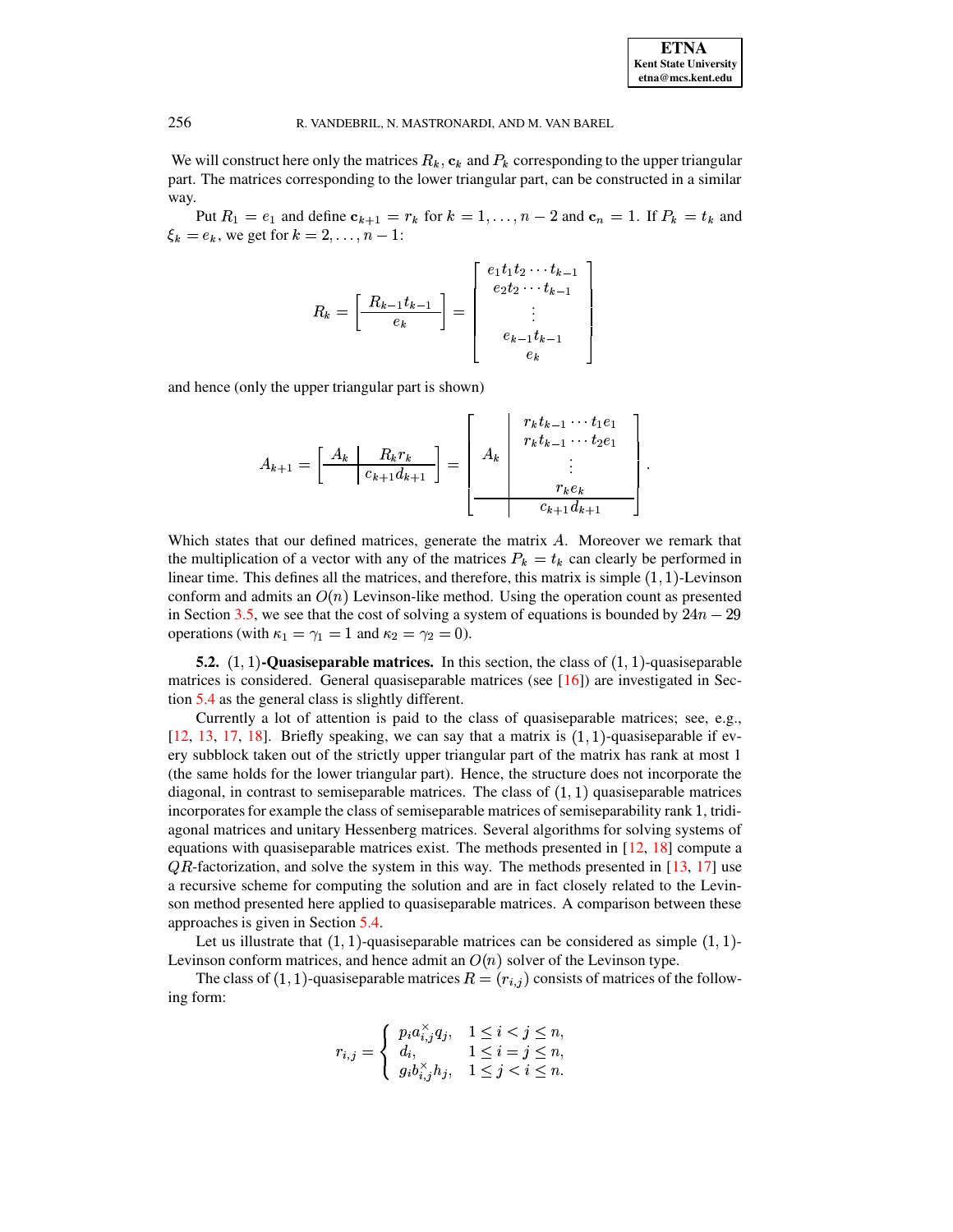| <b>ETNA</b>                  |
|------------------------------|
| <b>Kent State University</b> |
| etna@mcs.kent.edu            |

We will construct here only the matrices  $R_k$ ,  $c_k$  and  $P_k$  corresponding to the upper triangular part. The matrices corresponding to the lower triangular part, can be constructed in a similar way.

Put  $R_1 = e_1$  and define  $c_{k+1} = r_k$  for  $k = 1, ..., n-2$  and  $c_n = 1$ . If  $P_k = t_k$  and  $\xi_k = e_k$ , we get for  $k = 2, ..., n - 1$ :

$$
R_{k} = \left[\frac{R_{k-1}t_{k-1}}{e_{k}}\right] = \left[\begin{array}{c} e_{1}t_{1}t_{2}\cdots t_{k-1} \\ e_{2}t_{2}\cdots t_{k-1} \\ \vdots \\ e_{k-1}t_{k-1} \\ e_{k} \end{array}\right]
$$

and hence (only the upper triangular part is shown)

$$
A_{k+1} = \left[ \begin{array}{c|c} A_k & R_k r_k \\ \hline c_{k+1} d_{k+1} \end{array} \right] = \left[ \begin{array}{c|c} r_k t_{k-1} & \cdots & t_1 e_1 \\ r_k t_{k-1} & \cdots & t_2 e_1 \\ \vdots & \vdots & \vdots \\ r_k e_k & \cdots & r_k e_k \\ \hline c_{k+1} d_{k+1} & \end{array} \right]
$$

Which states that our defined matrices, generate the matrix A. Moreover we remark that the multiplication of a vector with any of the matrices  $P_k = t_k$  can clearly be performed in linear time. This defines all the matrices, and therefore, this matrix is simple  $(1, 1)$ -Levinson conform and admits an  $O(n)$  Levinson-like method. Using the operation count as presented in Section 3.5, we see that the cost of solving a system of equations is bounded by  $24n - 29$ operations (with  $\kappa_1 = \gamma_1 = 1$  and  $\kappa_2 = \gamma_2 = 0$ ).

<span id="page-13-0"></span>**5.2.**  $(1, 1)$ -Quasiseparable matrices. In this section, the class of  $(1, 1)$ -quasiseparable matrices is considered. General quasiseparable matrices (see  $[16]$ ) are investigated in Section  $5.4$  as the general class is slightly different.

Currently a lot of attention is paid to the class of quasiseparable matrices; see, e.g., [12, 13, 17, 18]. Briefly speaking, we can say that a matrix is  $(1, 1)$ -quasiseparable if every subblock taken out of the strictly upper triangular part of the matrix has rank at most 1 (the same holds for the lower triangular part). Hence, the structure does not incorporate the diagonal, in contrast to semiseparable matrices. The class of  $(1, 1)$  quasiseparable matrices incorporates for example the class of semiseparable matrices of semiseparability rank 1, tridiagonal matrices and unitary Hessenberg matrices. Several algorithms for solving systems of equations with quasiseparable matrices exist. The methods presented in  $[12, 18]$  compute a  $QR$ -factorization, and solve the system in this way. The methods presented in [13, 17] use a recursive scheme for computing the solution and are in fact closely related to the Levinson method presented here applied to quasiseparable matrices. A comparison between these approaches is given in Section 5.4.

Let us illustrate that  $(1, 1)$ -quasiseparable matrices can be considered as simple  $(1, 1)$ -Levinson conform matrices, and hence admit an  $O(n)$  solver of the Levinson type.

The class of (1, 1)-quasiseparable matrices  $R = (r_{i,j})$  consists of matrices of the following form:

$$
r_{i,j} = \begin{cases} p_i a_{i,j}^{\times} q_j, & 1 \leq i < j \leq n, \\ d_i, & 1 \leq i = j \leq n, \\ g_i b_{i,j}^{\times} h_j, & 1 \leq j < i \leq n. \end{cases}
$$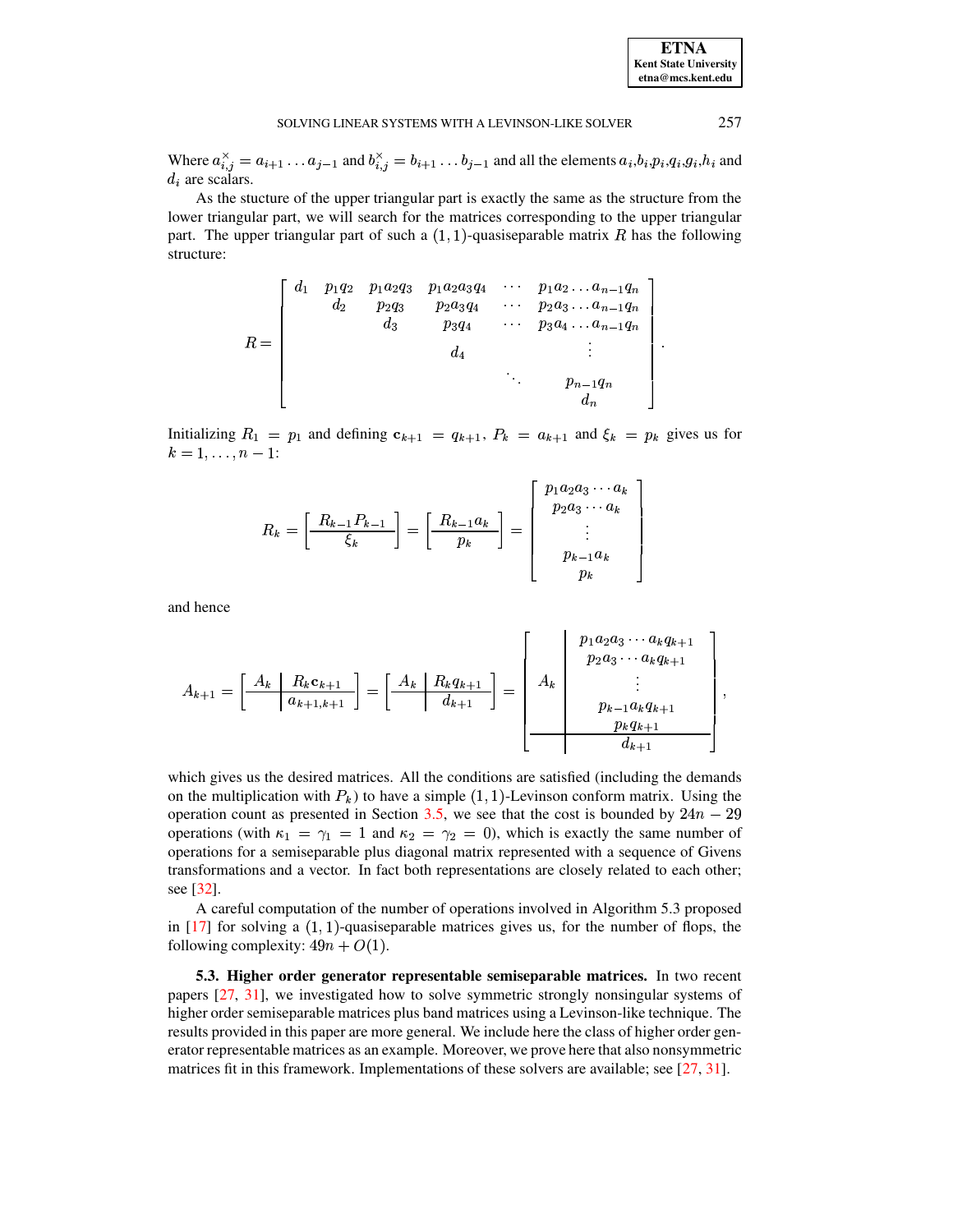| <b>ETNA</b>           |  |  |  |  |
|-----------------------|--|--|--|--|
| Kent State University |  |  |  |  |
| etna@mcs.kent.edu     |  |  |  |  |

Where  $a_{i,j}^{\times} = a_{i+1} \dots a_{j-1}$  and  $b_{i,j}^{\times} = b_{i+1} \dots b_{j-1}$  and all the elements  $a_i, b_i, p_i, q_i, g_i, h_i$  and  $d_i$  are scalars.

As the stucture of the upper triangular part is exactly the same as the structure from the lower triangular part, we will search for the matrices corresponding to the upper triangular part. The upper triangular part of such a  $(1,1)$ -quasiseparable matrix R has the following structure:

$$
R = \begin{bmatrix} d_1 & p_1q_2 & p_1a_2q_3 & p_1a_2a_3q_4 & \cdots & p_1a_2 \ldots a_{n-1}q_n \\ d_2 & p_2q_3 & p_2a_3q_4 & \cdots & p_2a_3 \ldots a_{n-1}q_n \\ d_3 & p_3q_4 & \cdots & p_3a_4 \ldots a_{n-1}q_n \\ d_4 & & \vdots & \\ & & \ddots & \\ & & & & p_{n-1}q_n \\ & & & & & d_n \end{bmatrix}
$$

Initializing  $R_1 = p_1$  and defining  $c_{k+1} = q_{k+1}$ ,  $P_k = a_{k+1}$  and  $\xi_k = p_k$  gives us for  $k = 1, \ldots, n - 1$ :

$$
R_k = \left[\frac{R_{k-1}P_{k-1}}{\xi_k}\right] = \left[\frac{R_{k-1}a_k}{p_k}\right] = \left[\begin{array}{c}p_1a_2a_3\cdots a_k\\p_2a_3\cdots a_k\\\vdots\\p_{k-1}a_k\\p_k\end{array}\right]
$$

and hence

$$
A_{k+1} = \left[\begin{array}{c|c} A_k & R_k c_{k+1} \\ \hline a_{k+1,k+1} \end{array}\right] = \left[\begin{array}{c|c} A_k & R_k q_{k+1} \\ \hline d_{k+1} \end{array}\right] = \left[\begin{array}{c|c} p_1 a_2 a_3 \cdots a_k q_{k+1} & p_2 a_3 \cdots a_k q_{k+1} \\ p_2 a_3 \cdots a_k q_{k+1} & \vdots & \vdots \\ p_{k-1} a_k q_{k+1} & p_k q_{k+1} \\ \hline d_{k+1} & d_{k+1} \end{array}\right],
$$

which gives us the desired matrices. All the conditions are satisfied (including the demands on the multiplication with  $P_k$ ) to have a simple (1, 1)-Levinson conform matrix. Using the operation count as presented in Section 3.5, we see that the cost is bounded by  $24n - 29$ operations (with  $\kappa_1 = \gamma_1 = 1$  and  $\kappa_2 = \gamma_2 = 0$ ), which is exactly the same number of operations for a semiseparable plus diagonal matrix represented with a sequence of Givens transformations and a vector. In fact both representations are closely related to each other; see  $[32]$ .

A careful computation of the number of operations involved in Algorithm 5.3 proposed in [17] for solving a  $(1, 1)$ -quasiseparable matrices gives us, for the number of flops, the following complexity:  $49n + O(1)$ .

<span id="page-14-0"></span>5.3. Higher order generator representable semiseparable matrices. In two recent papers [27, 31], we investigated how to solve symmetric strongly nonsingular systems of higher order semiseparable matrices plus band matrices using a Levinson-like technique. The results provided in this paper are more general. We include here the class of higher order generator representable matrices as an example. Moreover, we prove here that also nonsymmetric matrices fit in this framework. Implementations of these solvers are available; see  $[27, 31]$ .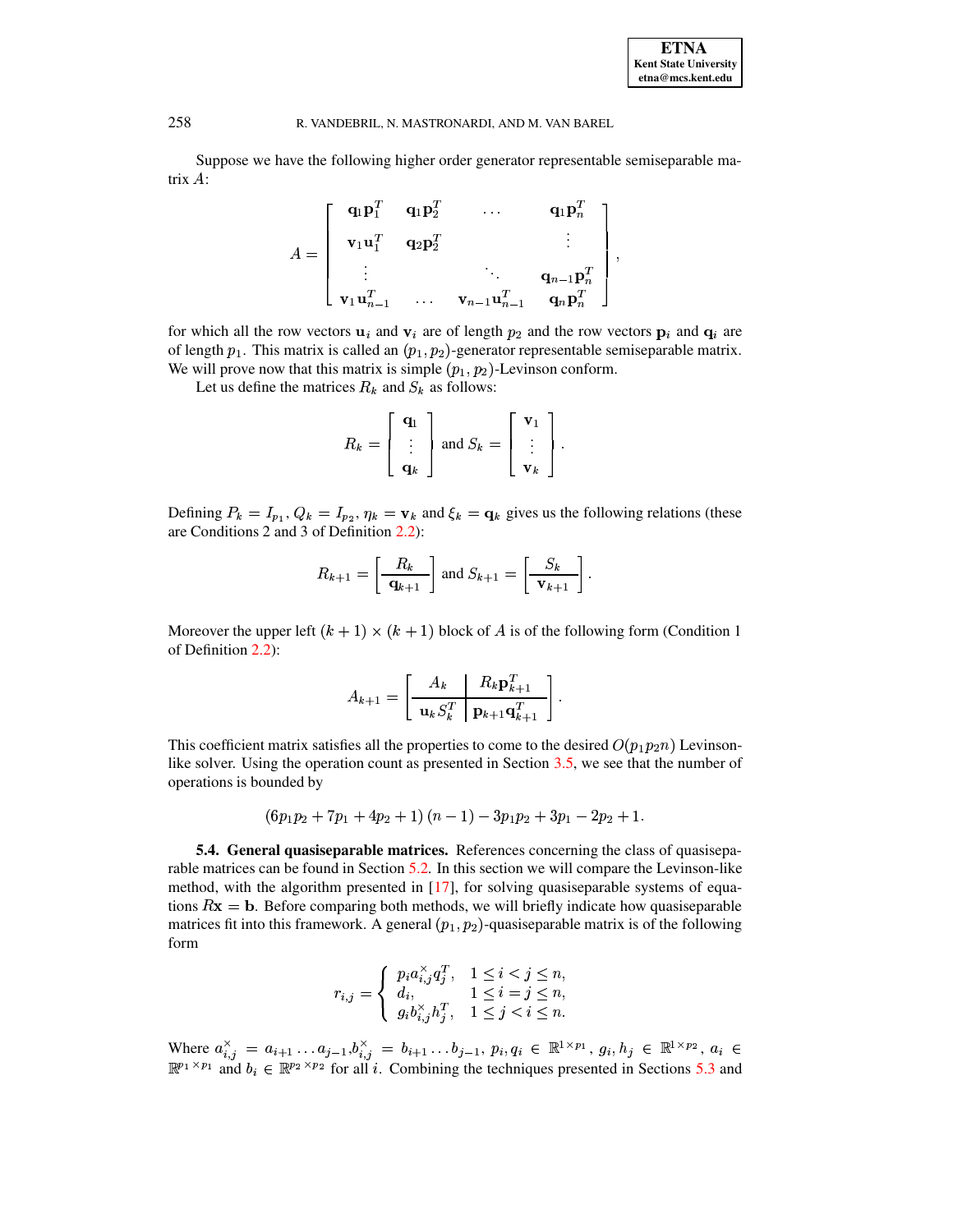| <b>ETNA</b>                  |
|------------------------------|
| <b>Kent State University</b> |
| etna@mcs.kent.edu            |

Suppose we have the following higher order generator representable semiseparable matrix  $A$ :

$$
A = \begin{bmatrix} \mathbf{q}_1 \mathbf{p}_1^T & \mathbf{q}_1 \mathbf{p}_2^T & \dots & \mathbf{q}_1 \mathbf{p}_n^T \\ \mathbf{v}_1 \mathbf{u}_1^T & \mathbf{q}_2 \mathbf{p}_2^T & & \vdots \\ \vdots & & \ddots & \mathbf{q}_{n-1} \mathbf{p}_n^T \\ \mathbf{v}_1 \mathbf{u}_{n-1}^T & \dots & \mathbf{v}_{n-1} \mathbf{u}_{n-1}^T & \mathbf{q}_n \mathbf{p}_n^T \end{bmatrix},
$$

for which all the row vectors  $\mathbf{u}_i$  and  $\mathbf{v}_i$  are of length  $p_2$  and the row vectors  $\mathbf{p}_i$  and  $\mathbf{q}_i$  are of length  $p_1$ . This matrix is called an  $(p_1, p_2)$ -generator representable semiseparable matrix. We will prove now that this matrix is simple  $(p_1, p_2)$ -Levinson conform.

Let us define the matrices  $R_k$  and  $S_k$  as follows:

$$
R_k = \begin{bmatrix} \mathbf{q}_1 \\ \vdots \\ \mathbf{q}_k \end{bmatrix} \text{ and } S_k = \begin{bmatrix} \mathbf{v}_1 \\ \vdots \\ \mathbf{v}_k \end{bmatrix}.
$$

Defining  $P_k = I_{p_1}$ ,  $Q_k = I_{p_2}$ ,  $\eta_k = \mathbf{v}_k$  and  $\xi_k = \mathbf{q}_k$  gives us the following relations (these are Conditions 2 and 3 of Definition 2.2):

$$
R_{k+1} = \left[\frac{R_k}{\mathbf{q}_{k+1}}\right] \text{ and } S_{k+1} = \left[\frac{S_k}{\mathbf{v}_{k+1}}\right]
$$

Moreover the upper left  $(k + 1) \times (k + 1)$  block of A is of the following form (Condition 1) of Definition 2.2):

$$
A_{k+1} = \left[ \begin{array}{c|c} A_k & R_k \mathbf{p}_{k+1}^T \\ \hline \mathbf{u}_k S_k^T & \mathbf{p}_{k+1} \mathbf{q}_{k+1}^T \end{array} \right].
$$

This coefficient matrix satisfies all the properties to come to the desired  $O(p_1p_2n)$  Levinsonlike solver. Using the operation count as presented in Section 3.5, we see that the number of operations is bounded by

$$
(6p_1p_2+7p_1+4p_2+1)(n-1)-3p_1p_2+3p_1-2p_2+1.
$$

<span id="page-15-0"></span>5.4. General quasiseparable matrices. References concerning the class of quasiseparable matrices can be found in Section 5.2. In this section we will compare the Levinson-like method, with the algorithm presented in [17], for solving quasiseparable systems of equations  $Rx = b$ . Before comparing both methods, we will briefly indicate how quasiseparable matrices fit into this framework. A general  $(p_1, p_2)$ -quasiseparable matrix is of the following form

$$
r_{i,j} = \begin{cases} p_i a_{i,j}^\times q_j^T, & 1 \leq i < j \leq n, \\ d_i, & 1 \leq i = j \leq n, \\ g_i b_{i,j}^\times h_j^T, & 1 \leq j < i \leq n. \end{cases}
$$

Where  $a_{i,j}^{\times} = a_{i+1} \dots a_{j-1} b_{i,j}^{\times} = b_{i+1} \dots b_{j-1}, p_i, q_i \in \mathbb{R}^{1 \times p_1}, g_i, h_j \in \mathbb{R}^{1 \times p_2}, a_i \in \mathbb{R}^{p_1 \times p_1}$  and  $b_i \in \mathbb{R}^{p_2 \times p_2}$  for all *i*. Combining the techniques presented in Sections 5.3 and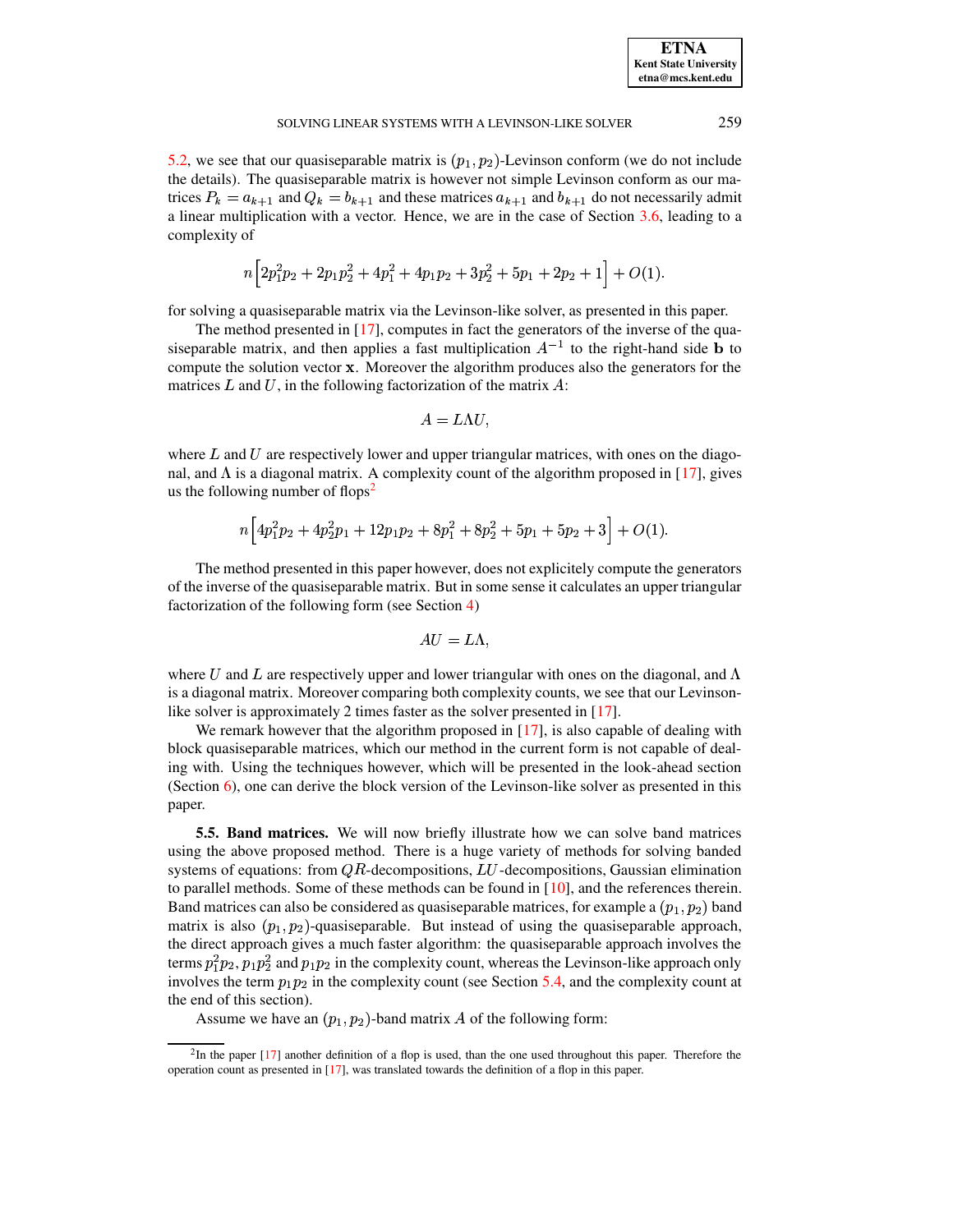5.2, we see that our quasiseparable matrix is  $(p_1, p_2)$ -Levinson conform (we do not include the details). The quasiseparable matrix is however not simple Levinson conform as our matrices  $P_k = a_{k+1}$  and  $Q_k = b_{k+1}$  and these matrices  $a_{k+1}$  and  $b_{k+1}$  do not necessarily admit a linear multiplication with a vector. Hence, we are in the case of Section 3.6, leading to a complexity of

$$
n\Big[2p_1^2p_2+2p_1p_2^2+4p_1^2+4p_1p_2+3p_2^2+5p_1+2p_2+1\Big]+O(1).
$$

for solving a quasiseparable matrix via the Levinson-like solver, as presented in this paper.

The method presented in [17], computes in fact the generators of the inverse of the quasiseparable matrix, and then applies a fast multiplication  $A^{-1}$  to the right-hand side **b** to compute the solution vector x. Moreover the algorithm produces also the generators for the matrices  $L$  and  $U$ , in the following factorization of the matrix  $A$ :

$$
A = L\Lambda U,
$$

where  $L$  and  $U$  are respectively lower and upper triangular matrices, with ones on the diagonal, and  $\Lambda$  is a diagonal matrix. A complexity count of the algorithm proposed in [17], gives us the following number of flops<sup>2</sup>

$$
n\left[4p_1^2p_2+4p_2^2p_1+12p_1p_2+8p_1^2+8p_2^2+5p_1+5p_2+3\right]+O(1).
$$

The method presented in this paper however, does not explicitely compute the generators of the inverse of the quasiseparable matrix. But in some sense it calculates an upper triangular factorization of the following form (see Section 4)

$$
AU=L\Lambda.
$$

where U and L are respectively upper and lower triangular with ones on the diagonal, and  $\Lambda$ is a diagonal matrix. Moreover comparing both complexity counts, we see that our Levinsonlike solver is approximately 2 times faster as the solver presented in  $[17]$ .

We remark however that the algorithm proposed in  $[17]$ , is also capable of dealing with block quasiseparable matrices, which our method in the current form is not capable of dealing with. Using the techniques however, which will be presented in the look-ahead section (Section 6), one can derive the block version of the Levinson-like solver as presented in this paper.

**5.5. Band matrices.** We will now briefly illustrate how we can solve band matrices using the above proposed method. There is a huge variety of methods for solving banded systems of equations: from  $QR$ -decompositions,  $LU$ -decompositions, Gaussian elimination to parallel methods. Some of these methods can be found in  $[10]$ , and the references therein. Band matrices can also be considered as quasiseparable matrices, for example a  $(p_1, p_2)$  band matrix is also  $(p_1, p_2)$ -quasiseparable. But instead of using the quasiseparable approach, the direct approach gives a much faster algorithm: the quasiseparable approach involves the terms  $p_1^2p_2$ ,  $p_1p_2^2$  and  $p_1p_2$  in the complexity count, whereas the Levinson-like approach only involves the term  $p_1p_2$  in the complexity count (see Section 5.4, and the complexity count at the end of this section).

Assume we have an  $(p_1, p_2)$ -band matrix A of the following form:

<span id="page-16-0"></span> ${}^{2}$ In the paper [17] another definition of a flop is used, than the one used throughout this paper. Therefore the operation count as presented in [17], was translated towards the definition of a flop in this paper.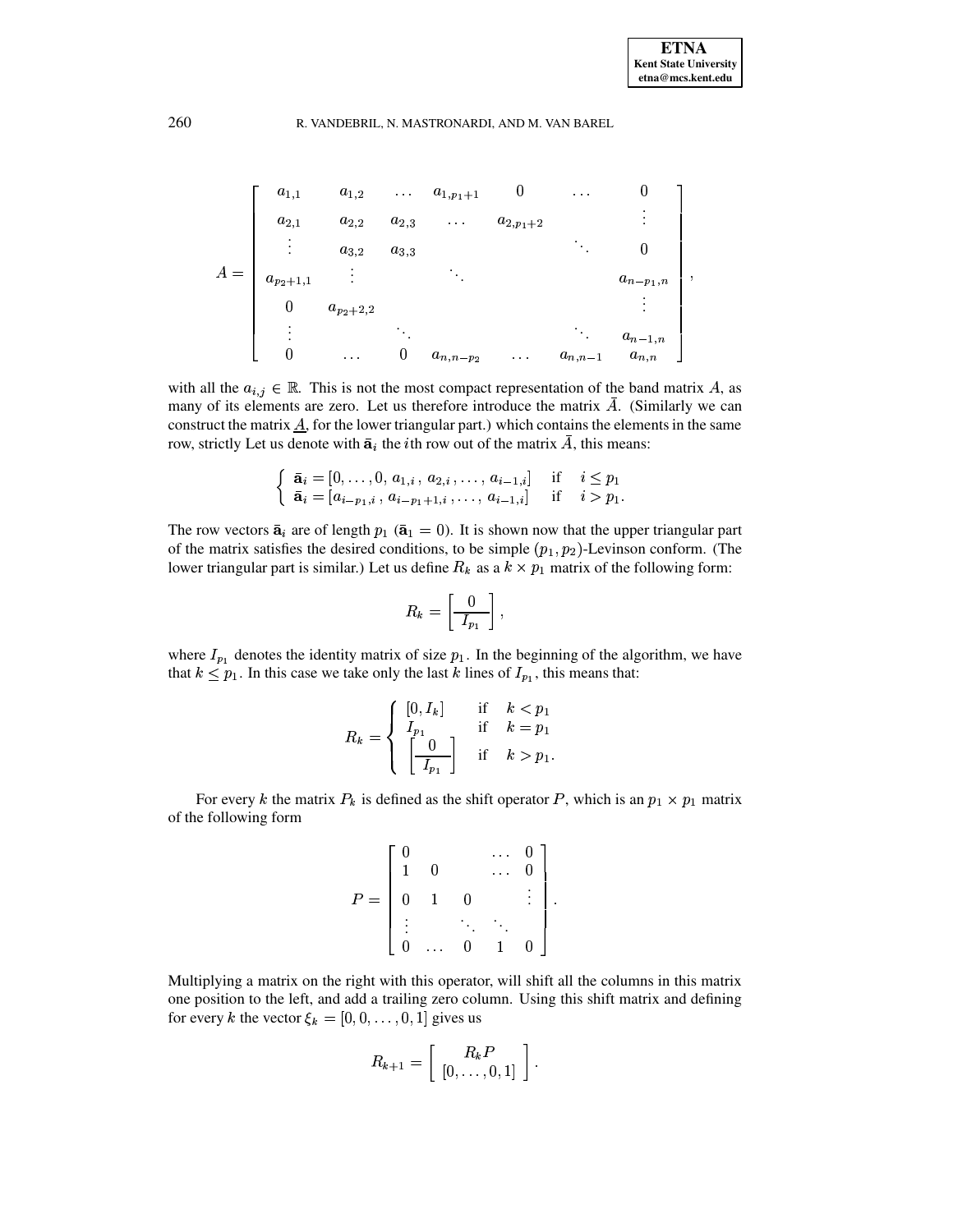and the state of the state of the state of

# 260 R. VANDEBRIL, N. MASTRONARDI, AND M. VAN BAREL

$$
A = \begin{bmatrix} a_{1,1} & a_{1,2} & \dots & a_{1,p_1+1} & 0 & \dots & 0 \\ a_{2,1} & a_{2,2} & a_{2,3} & \dots & a_{2,p_1+2} & \vdots \\ \vdots & a_{3,2} & a_{3,3} & & \ddots & 0 \\ a_{p_2+1,1} & \vdots & & \ddots & & a_{n-p_1,n} \\ 0 & a_{p_2+2,2} & & & \vdots \\ \vdots & & \ddots & & & \vdots \\ 0 & \dots & 0 & a_{n,n-p_2} & \dots & a_{n,n-1} & a_{n,n} \end{bmatrix},
$$

with all the  $a_{i,j} \in \mathbb{R}$ . This is not the most compact representation of the band matrix A, as many of its elements are zero. Let us therefore introduce the matrix  $A$ . (Similarly we can construct the matrix  $\underline{A}$ , for the lower triangular part.) which contains the elements in the same row, strictly Let us denote with  $\bar{a}_i$  the *i*th row out of the matrix A, this means:

$$
\begin{cases} \bar{\mathbf{a}}_i = [0, \ldots, 0, a_{1,i}, a_{2,i}, \ldots, a_{i-1,i}] & \text{if } i \leq p_1 \\ \bar{\mathbf{a}}_i = [a_{i-p_1,i}, a_{i-p_1+1,i}, \ldots, a_{i-1,i}] & \text{if } i > p_1. \end{cases}
$$

The row vectors  $\bar{\mathbf{a}}_i$  are of length  $p_1$  ( $\bar{\mathbf{a}}_1 = 0$ ). It is shown now that the upper triangular part of the matrix satisfies the desired conditions, to be simple  $(p_1, p_2)$ -Levinson conform. (The lower triangular part is similar.) Let us define  $R_k$  as a  $k \times p_1$  matrix of the following form:

$$
R_k = \left[\begin{array}{c} 0 \\ \hline I_{p_1} \end{array}\right],
$$

where  $I_{p_1}$  denotes the identity matrix of size  $p_1$ . In the beginning of the algorithm, we have that  $k \leq p_1$ . In this case we take only the last k lines of  $I_{p_1}$ , this means that:

$$
R_k = \begin{cases} [0, I_k] & \text{if } k < p_1 \\ I_{p_1} & \text{if } k = p_1 \\ \begin{bmatrix} 0 \\ I_{p_1} \end{bmatrix} & \text{if } k > p_1. \end{cases}
$$

For every k the matrix  $P_k$  is defined as the shift operator P, which is an  $p_1 \times p_1$  matrix of the following form

$$
P = \left[ \begin{array}{ccccc} 0 & & \dots & 0 \\ 1 & 0 & & \dots & 0 \\ 0 & 1 & 0 & & \vdots \\ \vdots & & \ddots & \ddots & \\ 0 & \dots & 0 & 1 & 0 \end{array} \right].
$$

Multiplying a matrix on the right with this operator, will shift all the columns in this matrix one position to the left, and add a trailing zero column. Using this shift matrix and defining for every k the vector  $\xi_k = [0, 0, \ldots, 0, 1]$  gives us

$$
R_{k+1} = \left[ \begin{array}{c} R_k P \\ [0, \ldots, 0, 1] \end{array} \right].
$$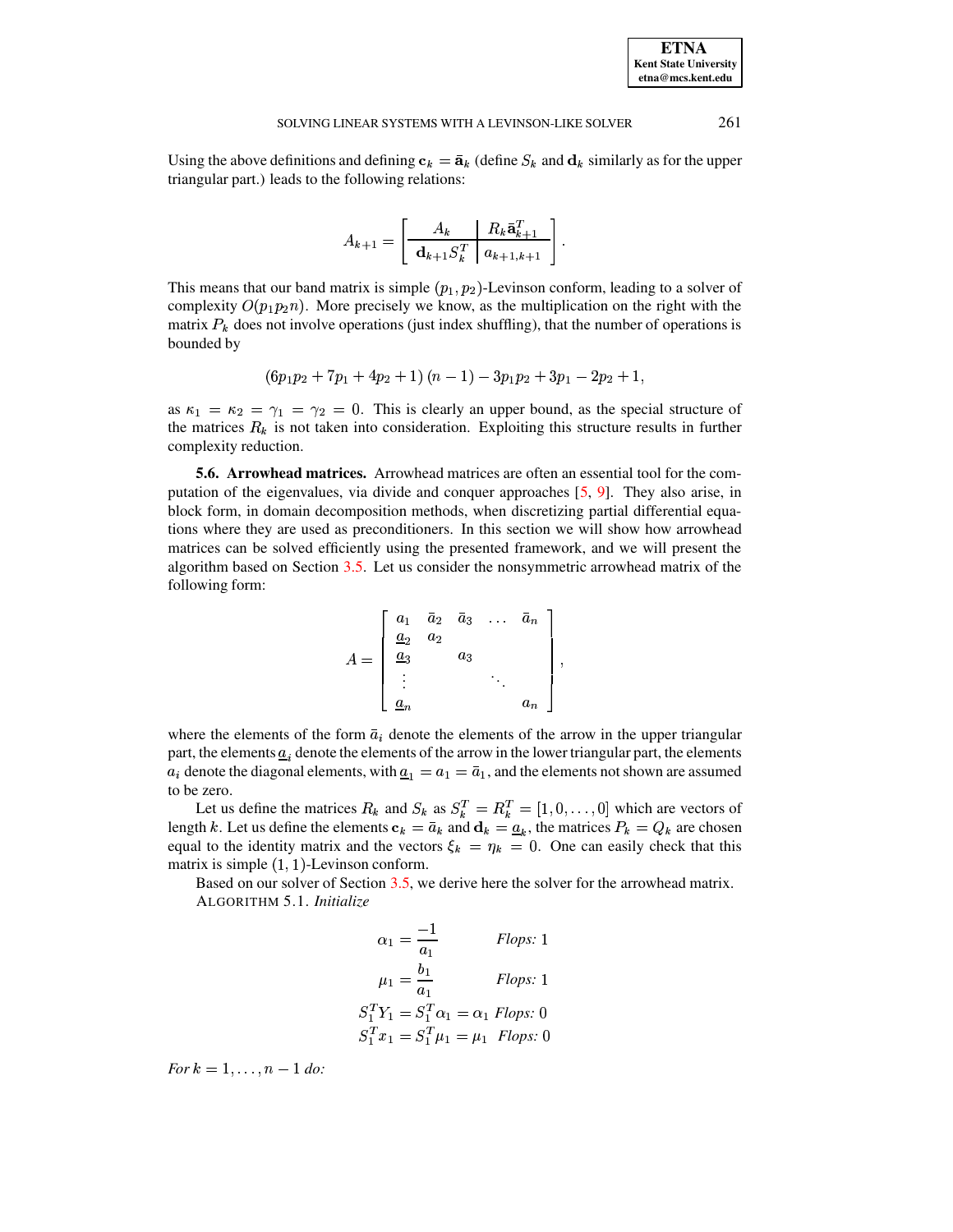Using the above definitions and defining  $c_k = \bar{a}_k$  (define  $S_k$  and  $d_k$  similarly as for the upper triangular part.) leads to the following relations:

$$
A_{k+1} = \left[ \begin{array}{c|c} A_k & R_k \bar{\mathbf{a}}_{k+1}^T \\ \hline \mathbf{d}_{k+1} S_k^T & a_{k+1,k+1} \end{array} \right]
$$

This means that our band matrix is simple  $(p_1, p_2)$ -Levinson conform, leading to a solver of complexity  $O(p_1p_2n)$ . More precisely we know, as the multiplication on the right with the matrix  $P_k$  does not involve operations (just index shuffling), that the number of operations is bounded by

$$
\left(6p_1p_2+7p_1+4p_2+1\right)\left(n-1\right)-3p_1p_2+3p_1-2p_2+1,
$$

as  $\kappa_1 = \kappa_2 = \gamma_1 = \gamma_2 = 0$ . This is clearly an upper bound, as the special structure of the matrices  $R_k$  is not taken into consideration. Exploiting this structure results in further complexity reduction.

**5.6. Arrowhead matrices.** Arrowhead matrices are often an essential tool for the computation of the eigenvalues, via divide and conquer approaches [5, 9]. They also arise, in block form, in domain decomposition methods, when discretizing partial differential equations where they are used as preconditioners. In this section we will show how arrowhead matrices can be solved efficiently using the presented framework, and we will present the algorithm based on Section 3.5. Let us consider the nonsymmetric arrowhead matrix of the following form:

$$
A = \begin{bmatrix} a_1 & \bar{a}_2 & \bar{a}_3 & \dots & \bar{a}_n \\ \frac{a_2}{a_3} & a_2 & & \\ \vdots & & & \ddots & \\ \frac{a_n}{a_n} & & & & a_n \end{bmatrix},
$$

where the elements of the form  $\bar{a}_i$  denote the elements of the arrow in the upper triangular part, the elements  $\underline{a}_i$  denote the elements of the arrow in the lower triangular part, the elements  $a_i$  denote the diagonal elements, with  $\underline{a}_1 = a_1 = \overline{a}_1$ , and the elements not shown are assumed to be zero.

Let us define the matrices  $R_k$  and  $S_k$  as  $S_k^T = R_k^T = [1, 0, ..., 0]$  which are vectors of length k. Let us define the elements  $c_k = \bar{a}_k$  and  $d_k = \underline{a}_k$ , the matrices  $P_k = Q_k$  are chosen equal to the identity matrix and the vectors  $\xi_k = \eta_k = 0$ . One can easily check that this matrix is simple  $(1, 1)$ -Levinson conform.

Based on our solver of Section 3.5, we derive here the solver for the arrowhead matrix. ALGORITHM 5.1. Initialize

$$
\alpha_1 = \frac{-1}{a_1}
$$
 Flops: 1  
\n
$$
\mu_1 = \frac{b_1}{a_1}
$$
 Flops: 1  
\n
$$
S_1^T Y_1 = S_1^T \alpha_1 = \alpha_1 Flops: 0
$$
  
\n
$$
S_1^T x_1 = S_1^T \mu_1 = \mu_1 Flops: 0
$$

For  $k = 1, ..., n - 1$  do:

261

**ETNA Kent State University**  $etna@mcs. kent.edu$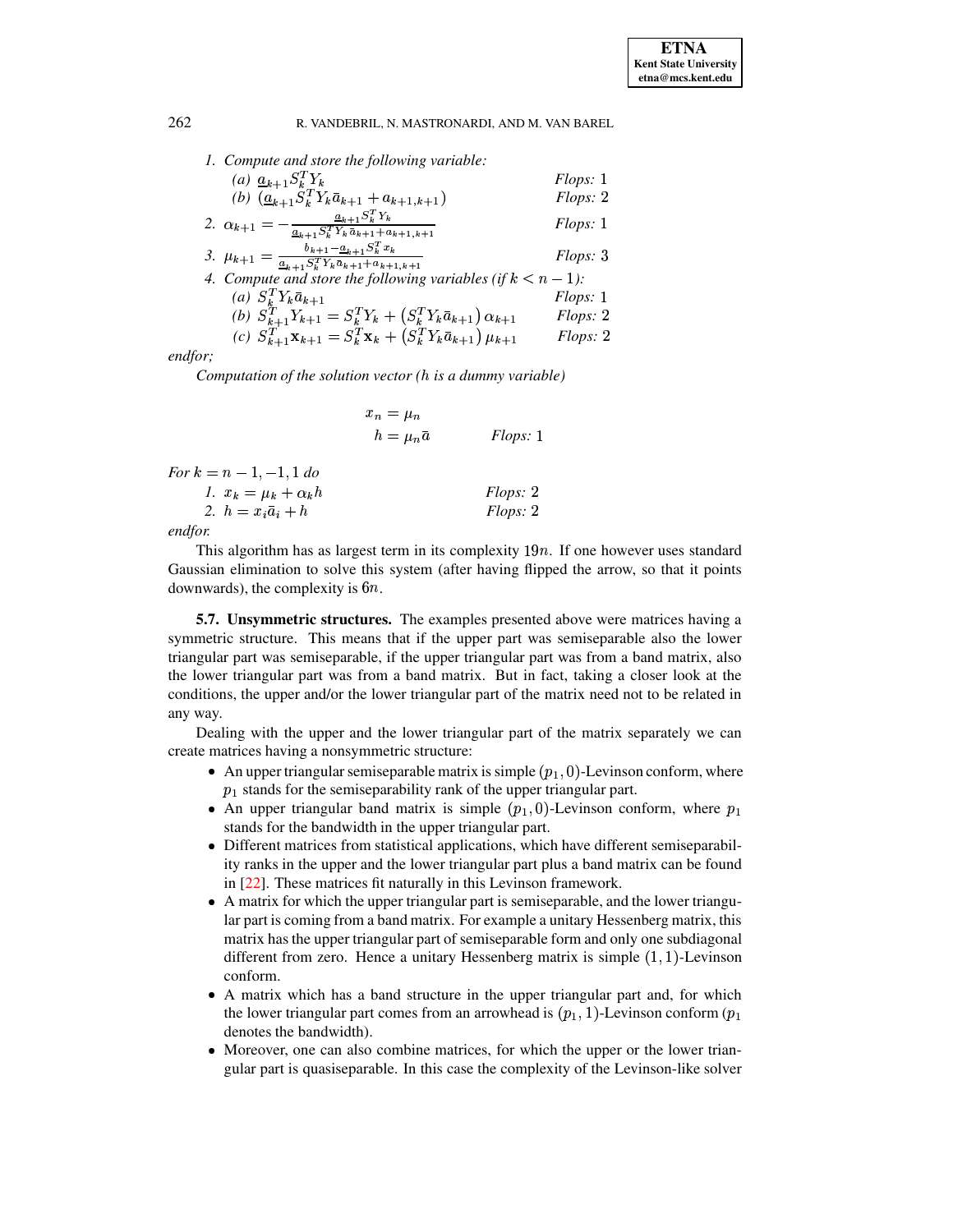|  | 1. Compute and store the following variable: |  |
|--|----------------------------------------------|--|
|  |                                              |  |

| (a) $\underline{a}_{k+1}S_k^TY_k$                                                                                                                     | Flops: 1         |
|-------------------------------------------------------------------------------------------------------------------------------------------------------|------------------|
| (b) $(\underline{a}_{k+1}S_k^TY_k\overline{a}_{k+1}+a_{k+1,k+1})$                                                                                     | Flops: 2         |
| $\underline{a}_{k+1}S_k^TY_k$<br>2. $\alpha_{k+1}$<br>$\underline{a_{k+1}} S_k^T \, Y_k \, \bar{a}_{k+1} + \bar{a}_{k+1,k+1}$                         | Flops: 1         |
| $b_{k+1} - a_{k+1} S_k^T x_k$<br>3. $\mu_{k+1} = \frac{a_{k+1} S_k^T Y_k \bar{a}_{k+1} + a_{k+1,k+1}}{a_{k+1} S_k^T Y_k \bar{a}_{k+1} + a_{k+1,k+1}}$ | Flops: 3         |
| 4. Compute and store the following variables (if $k < n - 1$ ):                                                                                       |                  |
| (a) $S_k^T Y_k \bar{a}_{k+1}$                                                                                                                         | <i>Flops</i> : 1 |
| (b) $S_{k+1}^T Y_{k+1} = S_k^T Y_k + (S_k^T Y_k \bar{a}_{k+1}) \alpha_{k+1}$                                                                          | Flops: 2         |
| (c) $S_{k+1}^T \mathbf{x}_{k+1} = S_k^T \mathbf{x}_k + (S_k^T Y_k \bar{a}_{k+1}) \mu_{k+1}$                                                           | Flops: 2         |
|                                                                                                                                                       |                  |

endfor;

Computation of the solution vector  $(h$  is a dummy variable)

|                                                            | $x_n = \mu_n$<br>$h=\mu_n\bar{a}$ | <i>Flops</i> : 1 |
|------------------------------------------------------------|-----------------------------------|------------------|
| For $k = n - 1, -1, 1$ do<br>1. $x_k = \mu_k + \alpha_k h$ |                                   | <i>Flops:</i> 2  |
| 2. $h = x_i \bar{a}_i + h$                                 |                                   | Flops: 2         |

endfor.

This algorithm has as largest term in its complexity  $19n$ . If one however uses standard Gaussian elimination to solve this system (after having flipped the arrow, so that it points downwards), the complexity is  $6n$ .

**5.7. Unsymmetric structures.** The examples presented above were matrices having a symmetric structure. This means that if the upper part was semiseparable also the lower triangular part was semiseparable, if the upper triangular part was from a band matrix, also the lower triangular part was from a band matrix. But in fact, taking a closer look at the conditions, the upper and/or the lower triangular part of the matrix need not to be related in any way.

Dealing with the upper and the lower triangular part of the matrix separately we can create matrices having a nonsymmetric structure:

- An upper triangular semiseparable matrix is simple  $(p_1, 0)$ -Levinson conform, where  $p_1$  stands for the semiseparability rank of the upper triangular part.
- An upper triangular band matrix is simple  $(p_1, 0)$ -Levinson conform, where  $p_1$ stands for the bandwidth in the upper triangular part.
- Different matrices from statistical applications, which have different semiseparability ranks in the upper and the lower triangular part plus a band matrix can be found in [22]. These matrices fit naturally in this Levinson framework.
- A matrix for which the upper triangular part is semiseparable, and the lower triangular part is coming from a band matrix. For example a unitary Hessenberg matrix, this matrix has the upper triangular part of semiseparable form and only one subdiagonal different from zero. Hence a unitary Hessenberg matrix is simple  $(1, 1)$ -Levinson conform.
- A matrix which has a band structure in the upper triangular part and, for which the lower triangular part comes from an arrowhead is  $(p_1, 1)$ -Levinson conform  $(p_1)$ denotes the bandwidth).
- Moreover, one can also combine matrices, for which the upper or the lower triangular part is quasiseparable. In this case the complexity of the Levinson-like solver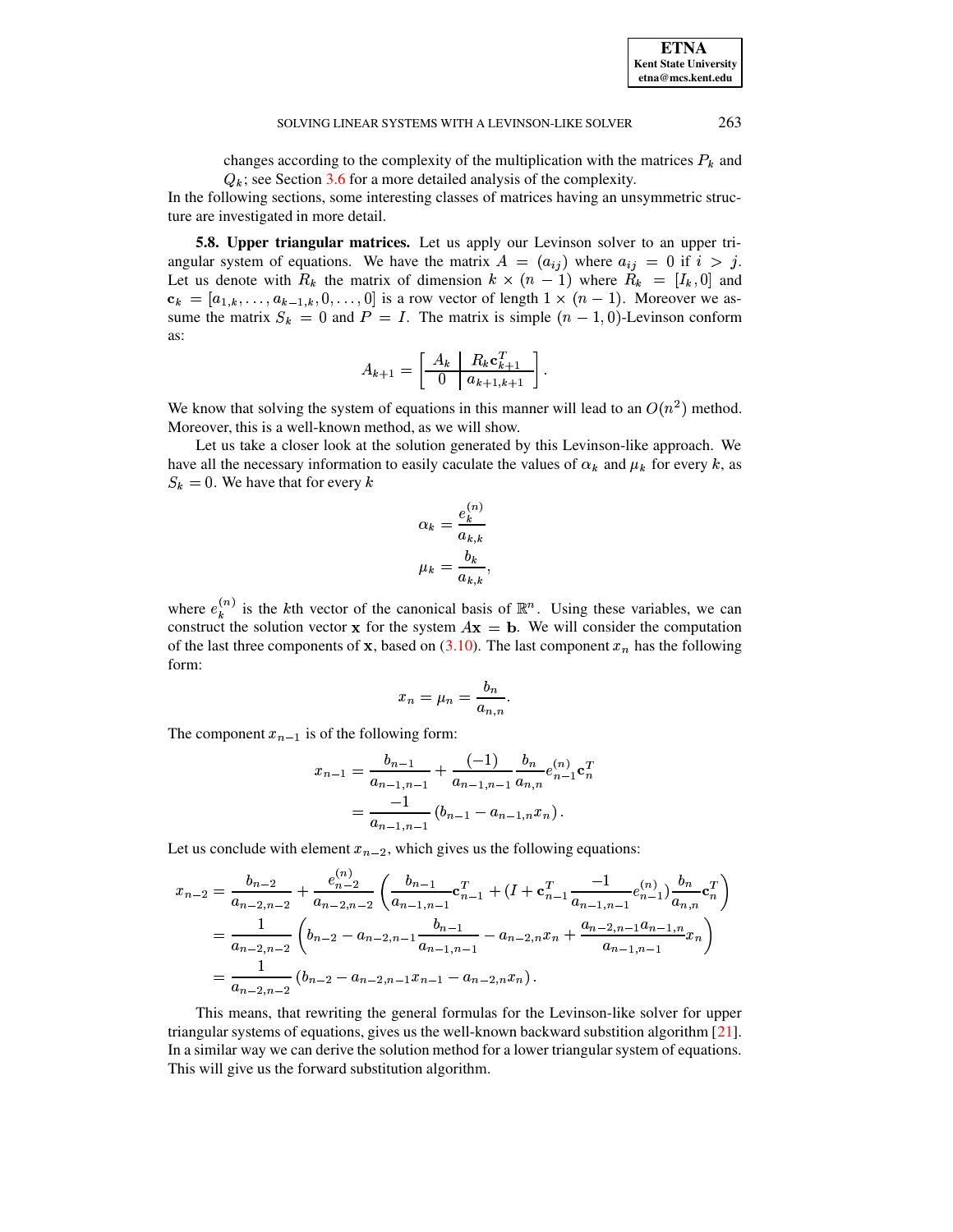changes according to the complexity of the multiplication with the matrices  $P_k$  and  $Q_k$ ; see Section 3.6 for a more detailed analysis of the complexity.

In the following sections, some interesting classes of matrices having an unsymmetric structure are investigated in more detail.

**5.8. Upper triangular matrices.** Let us apply our Levinson solver to an upper triangular system of equations. We have the matrix  $A = (a_{ij})$  where  $a_{ij} = 0$  if  $i > j$ . Let us denote with  $R_k$  the matrix of dimension  $k \times (n-1)$  where  $R_k = [I_k, 0]$  and  $\mathbf{c}_k = [a_{1,k}, \dots, a_{k-1,k}, 0, \dots, 0]$  is a row vector of length  $1 \times (n-1)$ . Moreover we assume the matrix  $S_k = 0$  and  $P = I$ . The matrix is simple  $(n - 1, 0)$ -Levinson conform as:

$$
A_{k+1} = \left[ \begin{array}{c|c} A_k & R_k \mathbf{c}_{k+1}^T \\ \hline 0 & a_{k+1,k+1} \end{array} \right].
$$

We know that solving the system of equations in this manner will lead to an  $O(n^2)$  method. Moreover, this is a well-known method, as we will show.

Let us take a closer look at the solution generated by this Levinson-like approach. We have all the necessary information to easily caculate the values of  $\alpha_k$  and  $\mu_k$  for every k, as  $S_k = 0$ . We have that for every k

$$
\alpha_k = \frac{e_k^{(n)}}{a_{k,k}}
$$

$$
\mu_k = \frac{b_k}{a_{k,k}},
$$

where  $e_k^{(n)}$  is the kth vector of the canonical basis of  $\mathbb{R}^n$ . Using these variables, we can construct the solution vector x for the system  $A\mathbf{x} = \mathbf{b}$ . We will consider the computation of the last three components of x, based on  $(3.10)$ . The last component  $x_n$  has the following form:

$$
x_n = \mu_n = \frac{b_n}{a_{n,n}}.
$$

The component  $x_{n-1}$  is of the following form:

$$
x_{n-1} = \frac{b_{n-1}}{a_{n-1,n-1}} + \frac{(-1)}{a_{n-1,n-1}} \frac{b_n}{a_{n,n}} e_{n-1}^{(n)} \mathbf{c}_n^T
$$

$$
= \frac{-1}{a_{n-1,n-1}} \left( b_{n-1} - a_{n-1,n} x_n \right).
$$

Let us conclude with element  $x_{n-2}$ , which gives us the following equations:

$$
x_{n-2} = \frac{b_{n-2}}{a_{n-2,n-2}} + \frac{e_{n-2}^{(n)}}{a_{n-2,n-2}} \left( \frac{b_{n-1}}{a_{n-1,n-1}} \mathbf{c}_{n-1}^T + (I + \mathbf{c}_{n-1}^T \frac{-1}{a_{n-1,n-1}} e_{n-1}^{(n)}) \frac{b_n}{a_{n,n}} \mathbf{c}_n^T \right)
$$
  
= 
$$
\frac{1}{a_{n-2,n-2}} \left( b_{n-2} - a_{n-2,n-1} \frac{b_{n-1}}{a_{n-1,n-1}} - a_{n-2,n} x_n + \frac{a_{n-2,n-1} a_{n-1,n}}{a_{n-1,n-1}} x_n \right)
$$
  
= 
$$
\frac{1}{a_{n-2,n-2}} (b_{n-2} - a_{n-2,n-1} x_{n-1} - a_{n-2,n} x_n).
$$

This means, that rewriting the general formulas for the Levinson-like solver for upper triangular systems of equations, gives us the well-known backward substition algorithm [21]. In a similar way we can derive the solution method for a lower triangular system of equations. This will give us the forward substitution algorithm.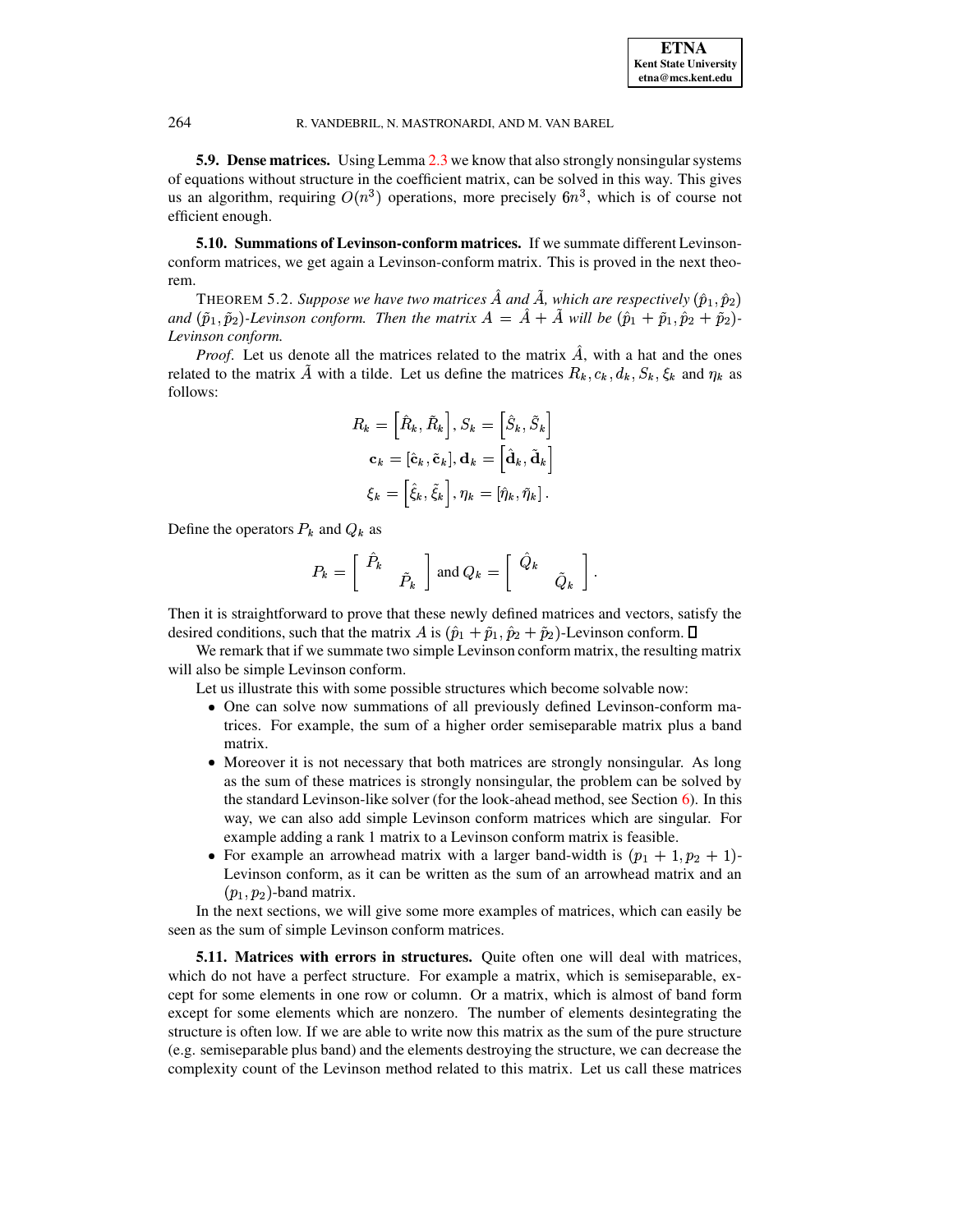**5.9. Dense matrices.** Using Lemma 2.3 we know that also strongly nonsingular systems of equations without structure in the coefficient matrix, can be solved in this way. This gives us an algorithm, requiring  $O(n^3)$  operations, more precisely  $6n^3$ , which is of course not efficient enough.

5.10. Summations of Levinson-conform matrices. If we summate different Levinsonconform matrices, we get again a Levinson-conform matrix. This is proved in the next theorem.

THEOREM 5.2. Suppose we have two matrices  $\hat{A}$  and  $\tilde{A}$ , which are respectively  $(\hat{p}_1, \hat{p}_2)$ and  $(\tilde{p}_1, \tilde{p}_2)$ -Levinson conform. Then the matrix  $A = \hat{A} + \tilde{A}$  will be  $(\hat{p}_1 + \tilde{p}_1, \hat{p}_2 + \tilde{p}_2)$ -Levinson conform.

*Proof.* Let us denote all the matrices related to the matrix  $\hat{A}$ , with a hat and the ones related to the matrix A with a tilde. Let us define the matrices  $R_k$ ,  $c_k$ ,  $d_k$ ,  $S_k$ ,  $\xi_k$  and  $\eta_k$  as follows:

$$
R_k = \left[\hat{R}_k, \tilde{R}_k\right], S_k = \left[\hat{S}_k, \tilde{S}_k\right]
$$

$$
\mathbf{c}_k = \left[\hat{\mathbf{c}}_k, \tilde{\mathbf{c}}_k\right], \mathbf{d}_k = \left[\hat{\mathbf{d}}_k, \tilde{\mathbf{d}}_k\right]
$$

$$
\xi_k = \left[\hat{\xi}_k, \tilde{\xi}_k\right], \eta_k = \left[\hat{\eta}_k, \tilde{\eta}_k\right].
$$

Define the operators  $P_k$  and  $Q_k$  as

$$
P_k = \left[ \begin{array}{cc} \hat{P}_k & \\ & \tilde{P}_k \end{array} \right] \text{ and } Q_k = \left[ \begin{array}{cc} \hat{Q}_k & \\ & \tilde{Q}_k \end{array} \right].
$$

Then it is straightforward to prove that these newly defined matrices and vectors, satisfy the desired conditions, such that the matrix A is  $(\hat{p}_1 + \tilde{p}_1, \hat{p}_2 + \tilde{p}_2)$ -Levinson conform.  $\Box$ 

We remark that if we summate two simple Levinson conform matrix, the resulting matrix will also be simple Levinson conform.

Let us illustrate this with some possible structures which become solvable now:

- One can solve now summations of all previously defined Levinson-conform matrices. For example, the sum of a higher order semiseparable matrix plus a band matrix.
- Moreover it is not necessary that both matrices are strongly nonsingular. As long as the sum of these matrices is strongly nonsingular, the problem can be solved by the standard Levinson-like solver (for the look-ahead method, see Section  $6$ ). In this way, we can also add simple Levinson conform matrices which are singular. For example adding a rank 1 matrix to a Levinson conform matrix is feasible.
- For example an arrowhead matrix with a larger band-width is  $(p_1 + 1, p_2 + 1)$ -Levinson conform, as it can be written as the sum of an arrowhead matrix and an  $(p_1, p_2)$ -band matrix.

In the next sections, we will give some more examples of matrices, which can easily be seen as the sum of simple Levinson conform matrices.

5.11. Matrices with errors in structures. Quite often one will deal with matrices, which do not have a perfect structure. For example a matrix, which is semiseparable, except for some elements in one row or column. Or a matrix, which is almost of band form except for some elements which are nonzero. The number of elements desintegrating the structure is often low. If we are able to write now this matrix as the sum of the pure structure (e.g. semiseparable plus band) and the elements destroying the structure, we can decrease the complexity count of the Levinson method related to this matrix. Let us call these matrices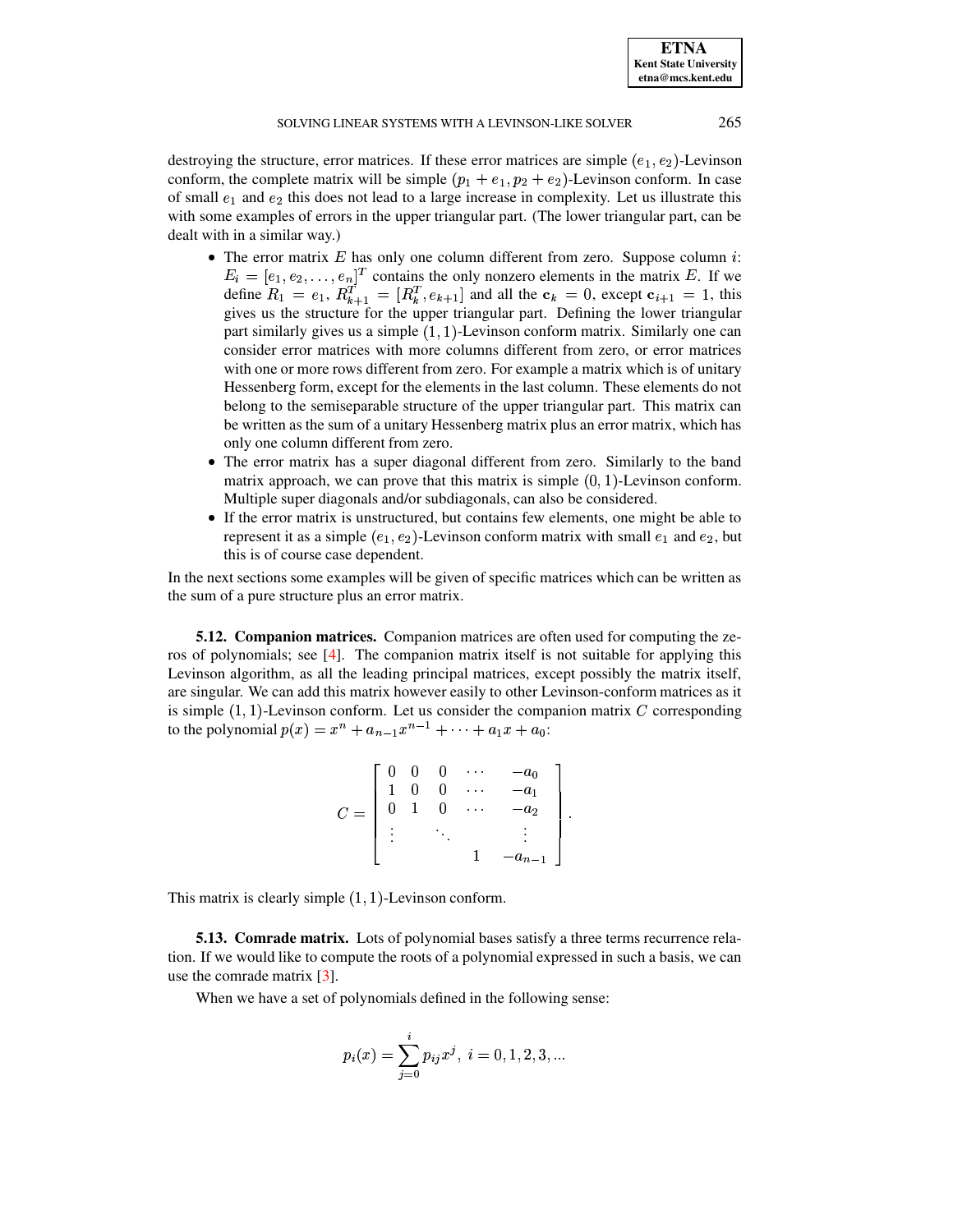**ETNA Kent State University etna@mcs.kent.edu**

# SOLVING LINEAR SYSTEMS WITH A LEVINSON-LIKE SOLVER 265

destroying the structure, error matrices. If these error matrices are simple  $(e_1, e_2)$ -Levinson conform, the complete matrix will be simple  $(p_1 + e_1, p_2 + e_2)$ -Levinson conform. In case of small  $e_1$  and  $e_2$  this does not lead to a large increase in complexity. Let us illustrate this with some examples of errors in the upper triangular part. (The lower triangular part, can be dealt with in a similar way.)

- The error matrix E has only one column different from zero. Suppose column  $i$ :  $E_i = [e_1, e_2, \dots, e_n]^T$  contains the only nonzero elements in the matrix E. If we define  $R_1 = e_1, R_{k+1}^T = [R_k^T, e_{k+1}]$  and all the  $c_k = 0$ , except  $c_{i+1} = 1$ , this gives us the structure for the upper triangular part. Defining the lower triangular part similarly gives us a simple  $(1,1)$ -Levinson conform matrix. Similarly one can consider error matrices with more columns different from zero, or error matrices with one or more rows different from zero. For example a matrix which is of unitary Hessenberg form, except for the elements in the last column. These elements do not belong to the semiseparable structure of the upper triangular part. This matrix can be written as the sum of a unitary Hessenberg matrix plus an error matrix, which has only one column different from zero.
- The error matrix has a super diagonal different from zero. Similarly to the band matrix approach, we can prove that this matrix is simple  $(0, 1)$ -Levinson conform. Multiple super diagonals and/or subdiagonals, can also be considered.
- If the error matrix is unstructured, but contains few elements, one might be able to represent it as a simple  $(e_1, e_2)$ -Levinson conform matrix with small  $e_1$  and  $e_2$ , but this is of course case dependent.

In the next sections some examples will be given of specific matrices which can be written as the sum of a pure structure plus an error matrix.

**5.12. Companion matrices.** Companion matrices are often used for computing the ze-ros of polynomials; see [\[4\]](#page-25-21). The companion matrix itself is not suitable for applying this Levinson algorithm, as all the leading principal matrices, except possibly the matrix itself, are singular. We can add this matrix however easily to other Levinson-conform matrices as it is simple  $(1, 1)$ -Levinson conform. Let us consider the companion matrix C corresponding to the polynomial  $p(x) = x^n + a_{n-1}x^{n-1} + \cdots + a_1x + a_0$ :

$$
C = \begin{bmatrix} 0 & 0 & 0 & \cdots & -a_0 \\ 1 & 0 & 0 & \cdots & -a_1 \\ 0 & 1 & 0 & \cdots & -a_2 \\ \vdots & & \ddots & & \vdots \\ & & & 1 & -a_{n-1} \end{bmatrix}.
$$

This matrix is clearly simple  $(1, 1)$ -Levinson conform.

**5.13. Comrade matrix.** Lots of polynomial bases satisfy a three terms recurrence relation. If we would like to compute the roots of a polynomial expressed in such a basis, we can use the comrade matrix [\[3\]](#page-25-22).

When we have a set of polynomials defined in the following sense:

$$
p_i(x)=\sum_{j=0}^i p_{ij}x^j,\;i=0,1,2,3,...
$$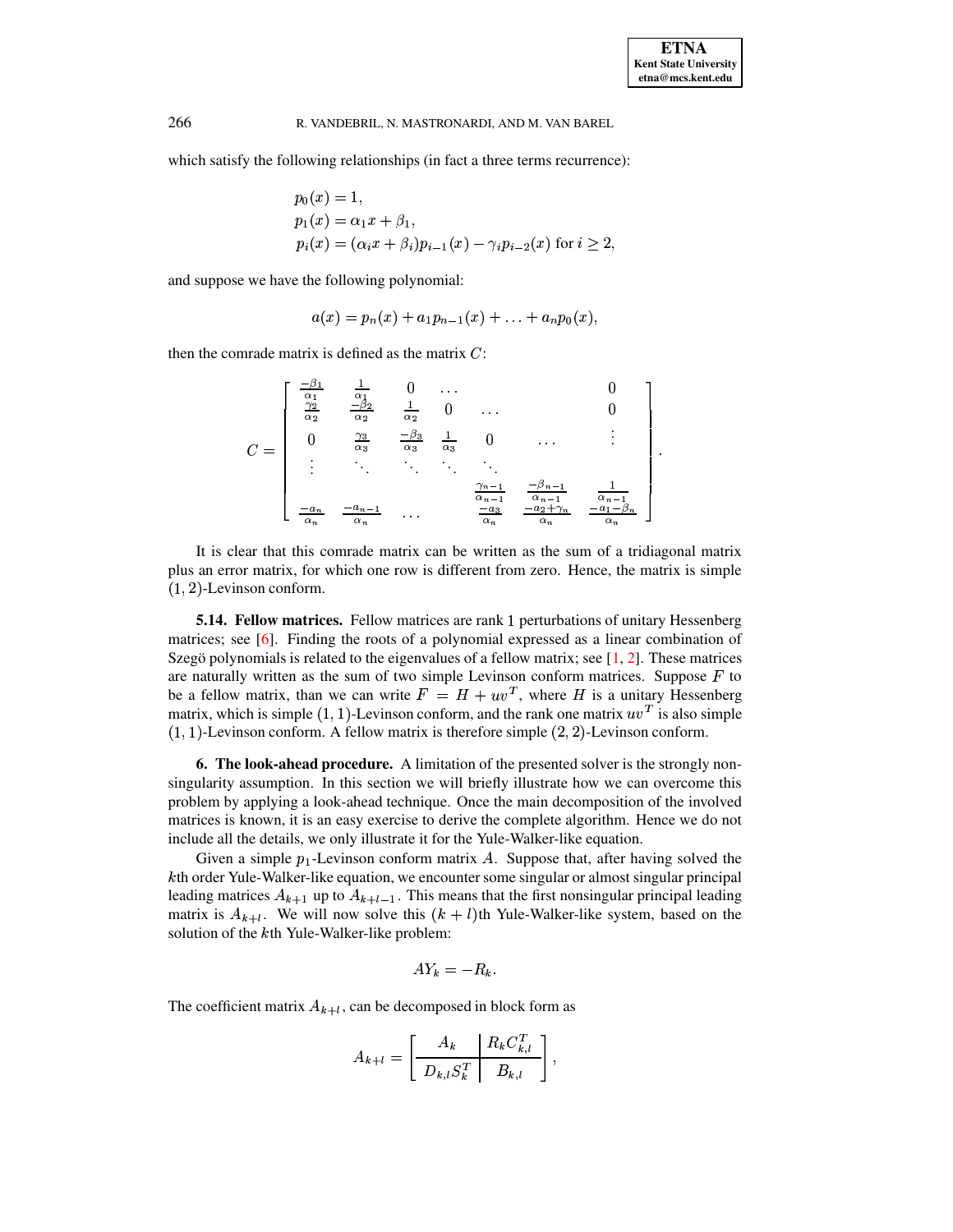which satisfy the following relationships (in fact a three terms recurrence):

$$
p_0(x) = 1,
$$
  
\n
$$
p_1(x) = \alpha_1 x + \beta_1,
$$
  
\n
$$
p_i(x) = (\alpha_i x + \beta_i) p_{i-1}(x) - \gamma_i p_{i-2}(x) \text{ for } i \ge 2.
$$

and suppose we have the following polynomial:

$$
a(x) = p_n(x) + a_1 p_{n-1}(x) + \ldots + a_n p_0(x),
$$

then the comrade matrix is defined as the matrix  $C$ :

$$
C = \begin{bmatrix} \frac{-\beta_1}{\alpha_1} & \frac{1}{\alpha_1} & 0 & \dots & 0\\ \frac{\gamma_2}{\alpha_2} & \frac{-\beta_2}{\alpha_2} & \frac{1}{\alpha_2} & 0 & \dots & 0\\ 0 & \frac{\gamma_3}{\alpha_3} & \frac{-\beta_3}{\alpha_3} & \frac{1}{\alpha_3} & 0 & \dots & \vdots\\ \vdots & \ddots & \ddots & \ddots & \ddots & \vdots\\ \frac{-a_n}{\alpha_n} & \frac{-a_{n-1}}{\alpha_n} & \dots & \frac{-a_3}{\alpha_n} & \frac{-a_2 + \gamma_n}{\alpha_n} & \frac{-a_1 - \beta_n}{\alpha_n} \end{bmatrix}
$$

It is clear that this comrade matrix can be written as the sum of a tridiagonal matrix plus an error matrix, for which one row is different from zero. Hence, the matrix is simple  $(1, 2)$ -Levinson conform.

**5.14. Fellow matrices.** Fellow matrices are rank 1 perturbations of unitary Hessenberg matrices; see  $[6]$ . Finding the roots of a polynomial expressed as a linear combination of Szegö polynomials is related to the eigenvalues of a fellow matrix; see  $[1, 2]$ . These matrices are naturally written as the sum of two simple Levinson conform matrices. Suppose  $F$  to be a fellow matrix, than we can write  $F = H + uv^T$ , where H is a unitary Hessenberg matrix, which is simple  $(1, 1)$ -Levinson conform, and the rank one matrix  $uv<sup>T</sup>$  is also simple  $(1, 1)$ -Levinson conform. A fellow matrix is therefore simple  $(2, 2)$ -Levinson conform.

<span id="page-23-0"></span>**6. The look-ahead procedure.** A limitation of the presented solver is the strongly nonsingularity assumption. In this section we will briefly illustrate how we can overcome this problem by applying a look-ahead technique. Once the main decomposition of the involved matrices is known, it is an easy exercise to derive the complete algorithm. Hence we do not include all the details, we only illustrate it for the Yule-Walker-like equation.

Given a simple  $p_1$ -Levinson conform matrix A. Suppose that, after having solved the kth order Yule-Walker-like equation, we encounter some singular or almost singular principal leading matrices  $A_{k+1}$  up to  $A_{k+l-1}$ . This means that the first nonsingular principal leading matrix is  $A_{k+l}$ . We will now solve this  $(k+l)$ th Yule-Walker-like system, based on the solution of the kth Yule-Walker-like problem:

$$
AY_k=-R_k
$$

The coefficient matrix  $A_{k+l}$ , can be decomposed in block form as

$$
A_{k+l} = \left[ \begin{array}{c|c} A_k & R_k C_{k,l}^T \\ \hline D_{k,l} S_k^T & B_{k,l} \end{array} \right],
$$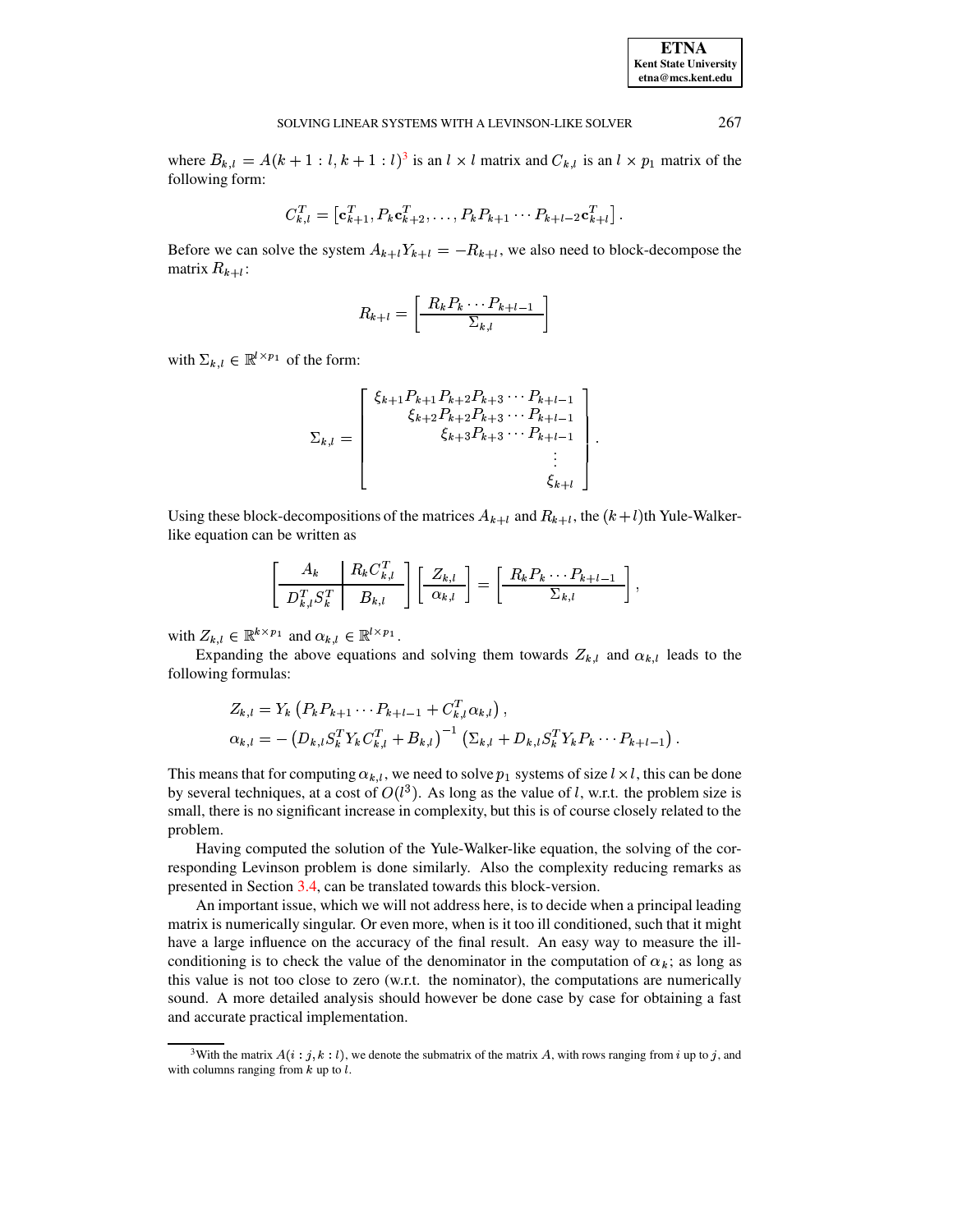267

where  $B_{k,l} = A(k+1 : l, k+1 : l)^3$  is an  $l \times l$  matrix and  $C_{k,l}$  is an  $l \times p_1$  matrix of the following form:

$$
C_{k,l}^T = \left[\mathbf{c}_{k+1}^T, P_k \mathbf{c}_{k+2}^T, \ldots, P_k P_{k+1} \cdots P_{k+l-2} \mathbf{c}_{k+l}^T\right].
$$

Before we can solve the system  $A_{k+l}Y_{k+l} = -R_{k+l}$ , we also need to block-decompose the matrix  $R_{k+l}$ :

$$
R_{k+l} = \left[\frac{R_k P_k \cdots P_{k+l-1}}{\Sigma_{k,l}}\right]
$$

with  $\Sigma_{k,l} \in \mathbb{R}^{l \times p_1}$  of the form:

$$
\Sigma_{k,l} = \begin{bmatrix} \xi_{k+1} P_{k+1} P_{k+2} P_{k+3} \cdots P_{k+l-1} \\ \xi_{k+2} P_{k+2} P_{k+3} \cdots P_{k+l-1} \\ \xi_{k+3} P_{k+3} \cdots P_{k+l-1} \\ \vdots \\ \xi_{k+l} \end{bmatrix}.
$$

Using these block-decompositions of the matrices  $A_{k+l}$  and  $R_{k+l}$ , the  $(k+l)$ th Yule-Walkerlike equation can be written as

$$
\left[\begin{array}{c|c} A_k & R_k C_{k,l}^T \\ \hline D_{k,l}^T S_k^T & B_{k,l} \end{array}\right] \left[\begin{array}{c} Z_{k,l} \\ \hline \alpha_{k,l} \end{array}\right] = \left[\begin{array}{c} R_k P_k \cdots P_{k+l-1} \\ \hline \Sigma_{k,l} \end{array}\right],
$$

with  $Z_{k,l} \in \mathbb{R}^{k \times p_1}$  and  $\alpha_{k,l} \in \mathbb{R}^{l \times p_1}$ .

Expanding the above equations and solving them towards  $Z_{k,l}$  and  $\alpha_{k,l}$  leads to the following formulas:

$$
Z_{k,l} = Y_k \left( P_k P_{k+1} \cdots P_{k+l-1} + C_{k,l}^T \alpha_{k,l} \right),
$$
  
\n
$$
\alpha_{k,l} = - \left( D_{k,l} S_k^T Y_k C_{k,l}^T + B_{k,l} \right)^{-1} \left( \Sigma_{k,l} + D_{k,l} S_k^T Y_k P_k \cdots P_{k+l-1} \right).
$$

This means that for computing  $\alpha_{k,l}$ , we need to solve  $p_1$  systems of size  $l \times l$ , this can be done by several techniques, at a cost of  $O(l^3)$ . As long as the value of l, w.r.t. the problem size is small, there is no significant increase in complexity, but this is of course closely related to the problem.

Having computed the solution of the Yule-Walker-like equation, the solving of the corresponding Levinson problem is done similarly. Also the complexity reducing remarks as presented in Section 3.4, can be translated towards this block-version.

An important issue, which we will not address here, is to decide when a principal leading matrix is numerically singular. Or even more, when is it too ill conditioned, such that it might have a large influence on the accuracy of the final result. An easy way to measure the illconditioning is to check the value of the denominator in the computation of  $\alpha_k$ ; as long as this value is not too close to zero (w.r.t. the nominator), the computations are numerically sound. A more detailed analysis should however be done case by case for obtaining a fast and accurate practical implementation.

<span id="page-24-0"></span><sup>&</sup>lt;sup>3</sup>With the matrix  $A(i : j, k : l)$ , we denote the submatrix of the matrix A, with rows ranging from i up to j, and with columns ranging from  $k$  up to  $l$ .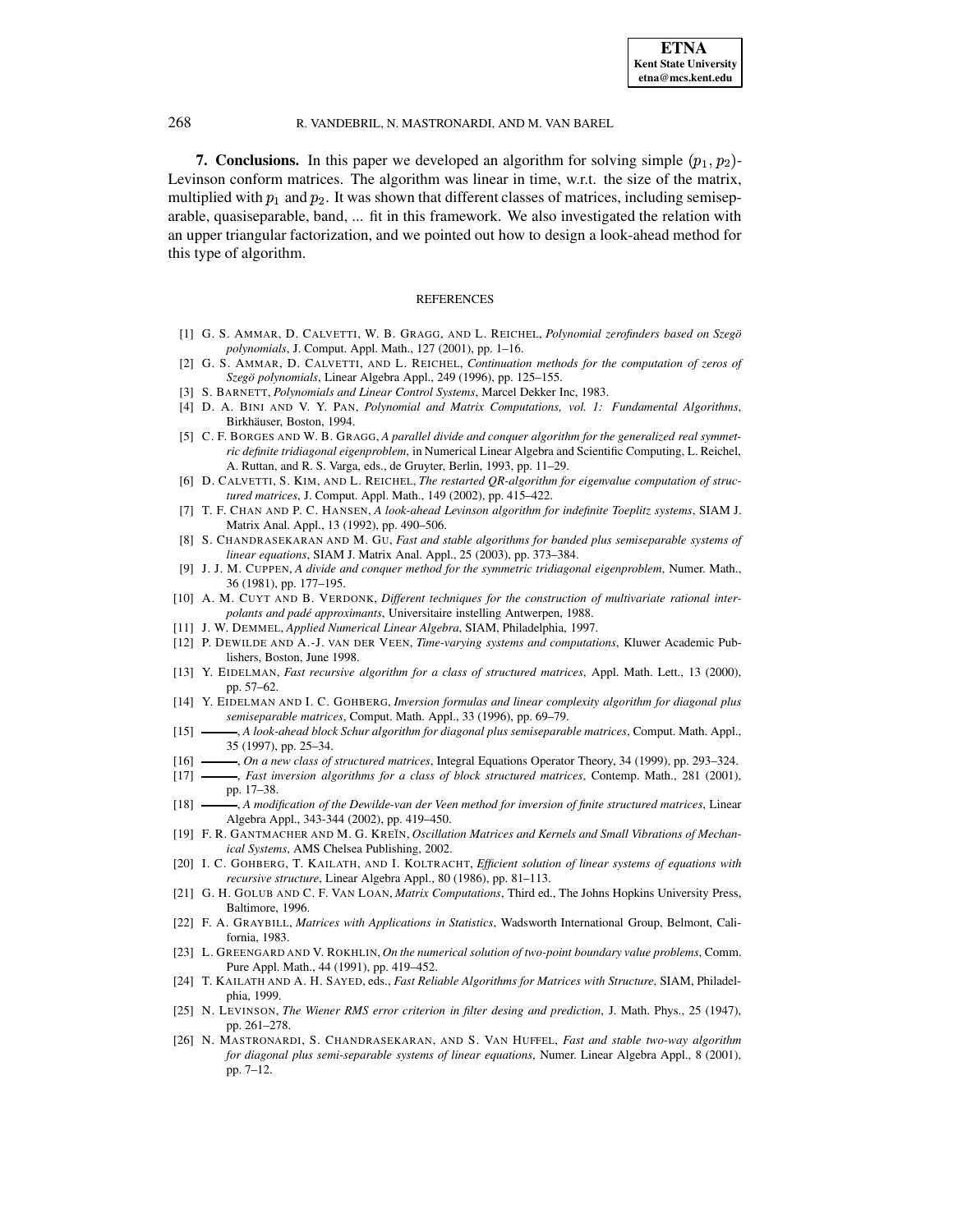**7. Conclusions.** In this paper we developed an algorithm for solving simple  $(p_1, p_2)$ -Levinson conform matrices. The algorithm was linear in time, w.r.t. the size of the matrix, multiplied with  $p_1$  and  $p_2$ . It was shown that different classes of matrices, including semiseparable, quasiseparable, band, ... fit in this framework. We also investigated the relation with an upper triangular factorization, and we pointed out how to design a look-ahead method for this type of algorithm.

### **REFERENCES**

- <span id="page-25-24"></span>[1] G. S. AMMAR, D. CALVETTI, W. B. GRAGG, AND L. REICHEL, *Polynomial zerofinders based on Szego¨ polynomials*, J. Comput. Appl. Math., 127 (2001), pp. 1–16.
- <span id="page-25-25"></span><span id="page-25-22"></span>[2] G. S. AMMAR, D. CALVETTI, AND L. REICHEL, *Continuation methods for the computation of zeros of Szego¨ polynomials*, Linear Algebra Appl., 249 (1996), pp. 125–155.
- [3] S. BARNETT, *Polynomials and Linear Control Systems*, Marcel Dekker Inc, 1983.
- <span id="page-25-21"></span><span id="page-25-19"></span>[4] D. A. BINI AND V. Y. PAN, *Polynomial and Matrix Computations, vol. 1: Fundamental Algorithms*, Birkhäuser, Boston, 1994.
- [5] C. F. BORGES AND W. B. GRAGG, *A parallel divide and conquer algorithm for the generalized real symmetric definite tridiagonal eigenproblem*, in Numerical Linear Algebra and Scientific Computing, L. Reichel, A. Ruttan, and R. S. Varga, eds., de Gruyter, Berlin, 1993, pp. 11–29.
- <span id="page-25-23"></span>[6] D. CALVETTI, S. KIM, AND L. REICHEL, *The restarted QR-algorithm for eigenvalue computation of structured matrices*, J. Comput. Appl. Math., 149 (2002), pp. 415–422.
- <span id="page-25-4"></span>[7] T. F. CHAN AND P. C. HANSEN, *A look-ahead Levinson algorithm for indefinite Toeplitz systems*, SIAM J. Matrix Anal. Appl., 13 (1992), pp. 490–506.
- <span id="page-25-11"></span>[8] S. CHANDRASEKARAN AND M. GU, *Fast and stable algorithms for banded plus semiseparable systems of linear equations*, SIAM J. Matrix Anal. Appl., 25 (2003), pp. 373–384.
- <span id="page-25-20"></span>[9] J. J. M. CUPPEN, *A divide and conquer method for the symmetric tridiagonal eigenproblem*, Numer. Math., 36 (1981), pp. 177–195.
- <span id="page-25-18"></span>[10] A. M. CUYT AND B. VERDONK, *Different techniques for the construction of multivariate rational interpolants and pade´ approximants*, Universitaire instelling Antwerpen, 1988.
- <span id="page-25-12"></span><span id="page-25-0"></span>[11] J. W. DEMMEL, *Applied Numerical Linear Algebra*, SIAM, Philadelphia, 1997.
- [12] P. DEWILDE AND A.-J. VAN DER VEEN, *Time-varying systems and computations*, Kluwer Academic Publishers, Boston, June 1998.
- <span id="page-25-5"></span>[13] Y. EIDELMAN, *Fast recursive algorithm for a class of structured matrices*, Appl. Math. Lett., 13 (2000), pp. 57–62.
- <span id="page-25-13"></span>[14] Y. EIDELMAN AND I. C. GOHBERG, *Inversion formulas and linear complexity algorithm for diagonal plus semiseparable matrices*, Comput. Math. Appl., 33 (1996), pp. 69–79.
- <span id="page-25-14"></span>[15] , *A look-ahead block Schur algorithm for diagonal plus semiseparable matrices*, Comput. Math. Appl., 35 (1997), pp. 25–34.
- <span id="page-25-17"></span><span id="page-25-6"></span>[16] , *On a new class of structured matrices*, Integral Equations Operator Theory, 34 (1999), pp. 293–324.
- [17] , *Fast inversion algorithms for a class of block structured matrices*, Contemp. Math., 281 (2001), pp. 17–38.
- <span id="page-25-15"></span>[18] , *A modification of the Dewilde-van der Veen method for inversion of finite structured matrices*, Linear Algebra Appl., 343-344 (2002), pp. 419–450.
- <span id="page-25-9"></span>[19] F. R. GANTMACHER AND M. G. KRE˘IN, *Oscillation Matrices and Kernels and Small Vibrations of Mechanical Systems*, AMS Chelsea Publishing, 2002.
- <span id="page-25-7"></span>[20] I. C. GOHBERG, T. KAILATH, AND I. KOLTRACHT, *Efficient solution of linear systems of equations with recursive structure*, Linear Algebra Appl., 80 (1986), pp. 81–113.
- <span id="page-25-1"></span>[21] G. H. GOLUB AND C. F. VAN LOAN, *Matrix Computations*, Third ed., The Johns Hopkins University Press, Baltimore, 1996.
- <span id="page-25-10"></span>[22] F. A. GRAYBILL, *Matrices with Applications in Statistics*, Wadsworth International Group, Belmont, California, 1983.
- <span id="page-25-8"></span>[23] L. GREENGARD AND V. ROKHLIN, *On the numerical solution of two-point boundary value problems*, Comm. Pure Appl. Math., 44 (1991), pp. 419–452.
- <span id="page-25-2"></span>[24] T. KAILATH AND A. H. SAYED, eds., *Fast Reliable Algorithms for Matrices with Structure*, SIAM, Philadelphia, 1999.
- <span id="page-25-3"></span>[25] N. LEVINSON, *The Wiener RMS error criterion in filter desing and prediction*, J. Math. Phys., 25 (1947), pp. 261–278.
- <span id="page-25-16"></span>[26] N. MASTRONARDI, S. CHANDRASEKARAN, AND S. VAN HUFFEL, *Fast and stable two-way algorithm for diagonal plus semi-separable systems of linear equations*, Numer. Linear Algebra Appl., 8 (2001), pp. 7–12.